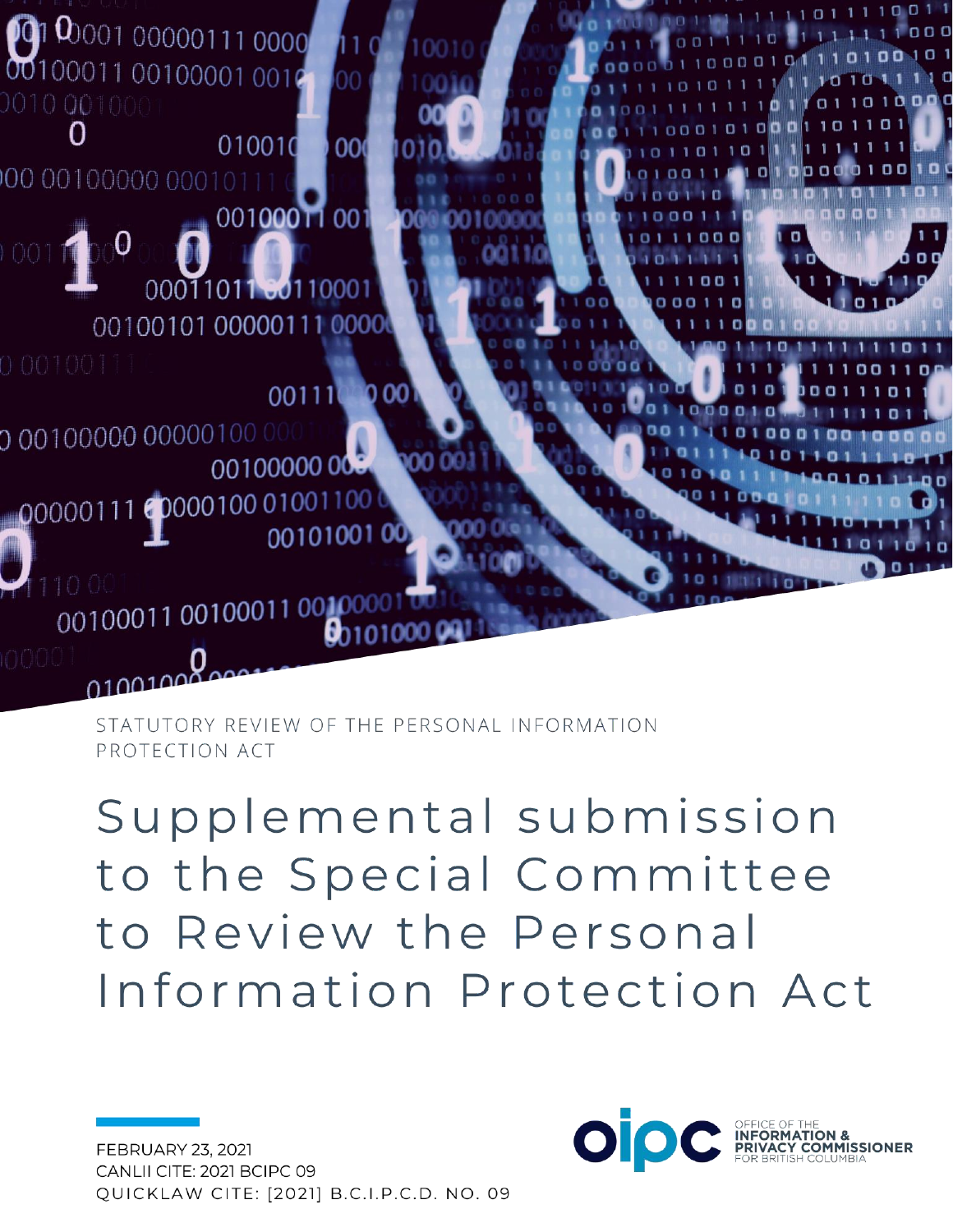

STATUTORY REVIEW OF THE PERSONAL INFORMATION PROTECTION ACT

Supplemental submission to the Special Committee to Review the Personal Information Protection Act

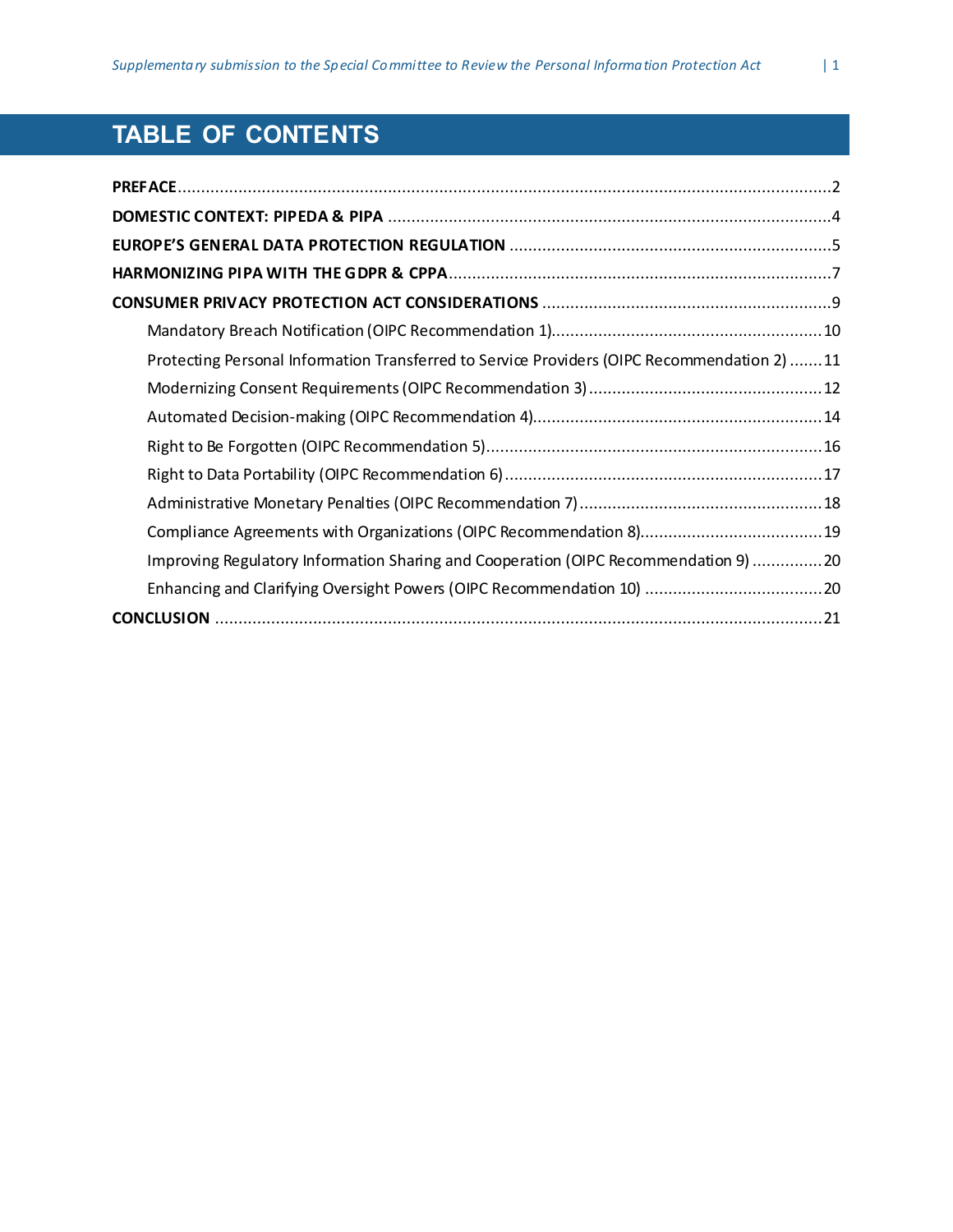# **TABLE OF CONTENTS**

| Protecting Personal Information Transferred to Service Providers (OIPC Recommendation 2) 11 |  |
|---------------------------------------------------------------------------------------------|--|
|                                                                                             |  |
|                                                                                             |  |
|                                                                                             |  |
|                                                                                             |  |
|                                                                                             |  |
|                                                                                             |  |
| Improving Regulatory Information Sharing and Cooperation (OIPC Recommendation 9) 20         |  |
|                                                                                             |  |
|                                                                                             |  |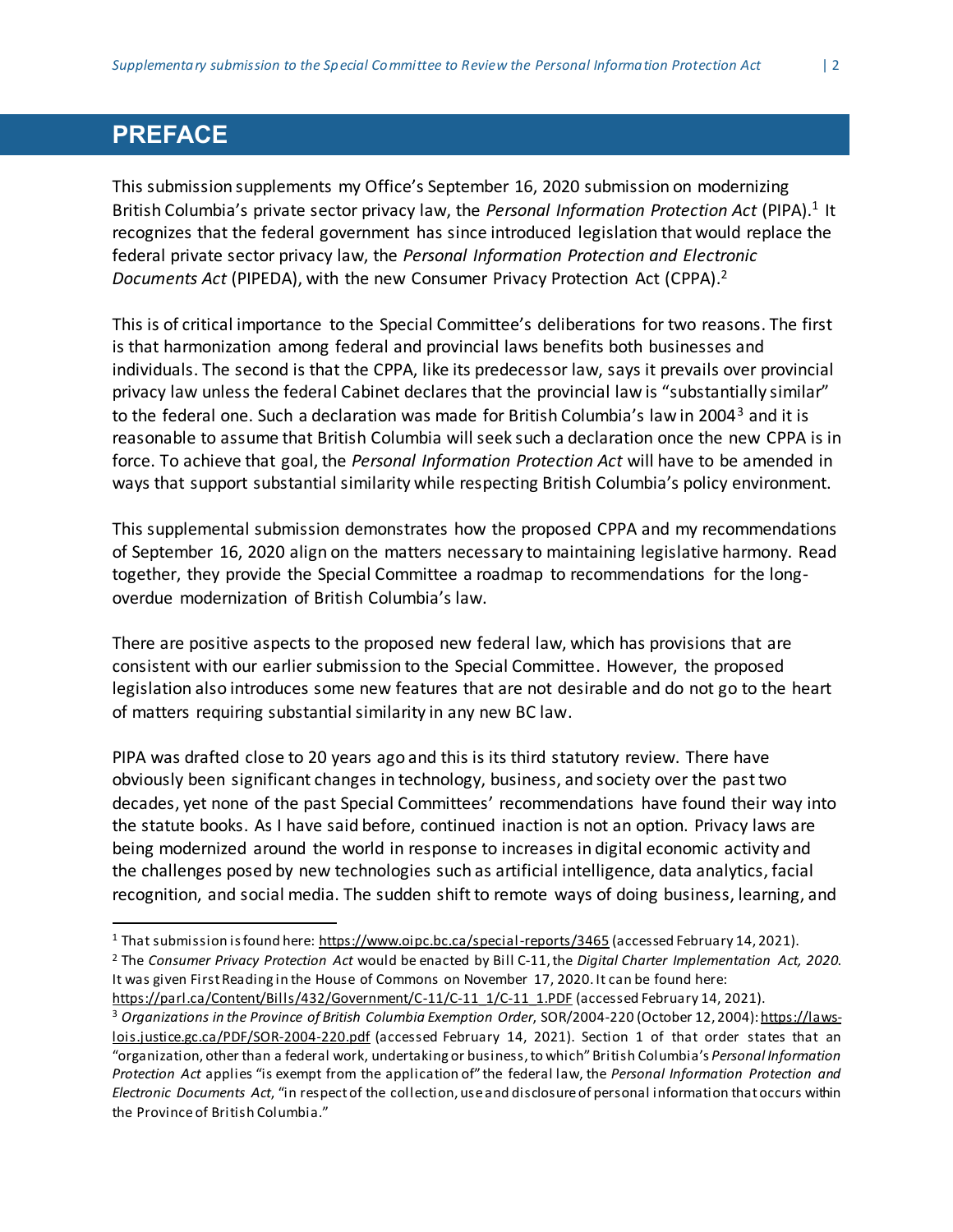#### <span id="page-2-0"></span>**PREFACE**

l

This submission supplements my Office's September 16, 2020 submission on modernizing British Columbia's private sector privacy law, the Personal Information Protection Act (PIPA).<sup>1</sup> It recognizes that the federal government has since introduced legislation that would replace the federal private sector privacy law, the *Personal Information Protection and Electronic Documents Act* (PIPEDA), with the new Consumer Privacy Protection Act (CPPA). 2

This is of critical importance to the Special Committee's deliberations for two reasons. The first is that harmonization among federal and provincial laws benefits both businesses and individuals. The second is that the CPPA, like its predecessor law, says it prevails over provincial privacy law unless the federal Cabinet declares that the provincial law is "substantially similar" to the federal one. Such a declaration was made for British Columbia's law in 2004<sup>3</sup> and it is reasonable to assume that British Columbia will seek such a declaration once the new CPPA is in force. To achieve that goal, the *Personal Information Protection Act* will have to be amended in ways that support substantial similarity while respecting British Columbia's policy environment.

This supplemental submission demonstrates how the proposed CPPA and my recommendations of September 16, 2020 align on the matters necessary to maintaining legislative harmony. Read together, they provide the Special Committee a roadmap to recommendations for the longoverdue modernization of British Columbia's law.

There are positive aspects to the proposed new federal law, which has provisions that are consistent with our earlier submission to the Special Committee. However, the proposed legislation also introduces some new features that are not desirable and do not go to the heart of matters requiring substantial similarity in any new BC law.

PIPA was drafted close to 20 years ago and this is its third statutory review. There have obviously been significant changes in technology, business, and society over the past two decades, yet none of the past Special Committees' recommendations have found their way into the statute books. As I have said before, continued inaction is not an option. Privacy laws are being modernized around the world in response to increases in digital economic activity and the challenges posed by new technologies such as artificial intelligence, data analytics, facial recognition, and social media. The sudden shift to remote ways of doing business, learning, and

<sup>&</sup>lt;sup>1</sup> That submission is found here: <https://www.oipc.bc.ca/special-reports/3465> (accessed February 14, 2021).

<sup>2</sup> The *Consumer Privacy Protection Act* would be enacted by Bill C-11,the *Digital Charter Implementation Act, 2020*. It was given FirstReading in the House of Commons on November 17, 2020. It can be found here:

[https://parl.ca/Content/Bills/432/Government/C-11/C-11\\_1/C-11\\_1.PDF](https://parl.ca/Content/Bills/432/Government/C-11/C-11_1/C-11_1.PDF) (accessed February 14, 2021).

<sup>3</sup> *Organizations in the Province of British Columbia Exemption Order*, SOR/2004-220 (October 12, 2004)[:https://laws](https://laws-lois.justice.gc.ca/PDF/SOR-2004-220.pdf)[lois.justice.gc.ca/PDF/SOR-2004-220.pdf](https://laws-lois.justice.gc.ca/PDF/SOR-2004-220.pdf) (accessed February 14, 2021). Section 1 of that order states that an "organization, other than a federal work, undertaking or business,to which"British Columbia's *Personal Information Protection Act* applies "is exempt from the application of" the federal law, the *Personal Information Protection and Electronic Documents Act*, "in respect of the collection, useand disclosureof personal information thatoccurs within the Provinceof British Columbia."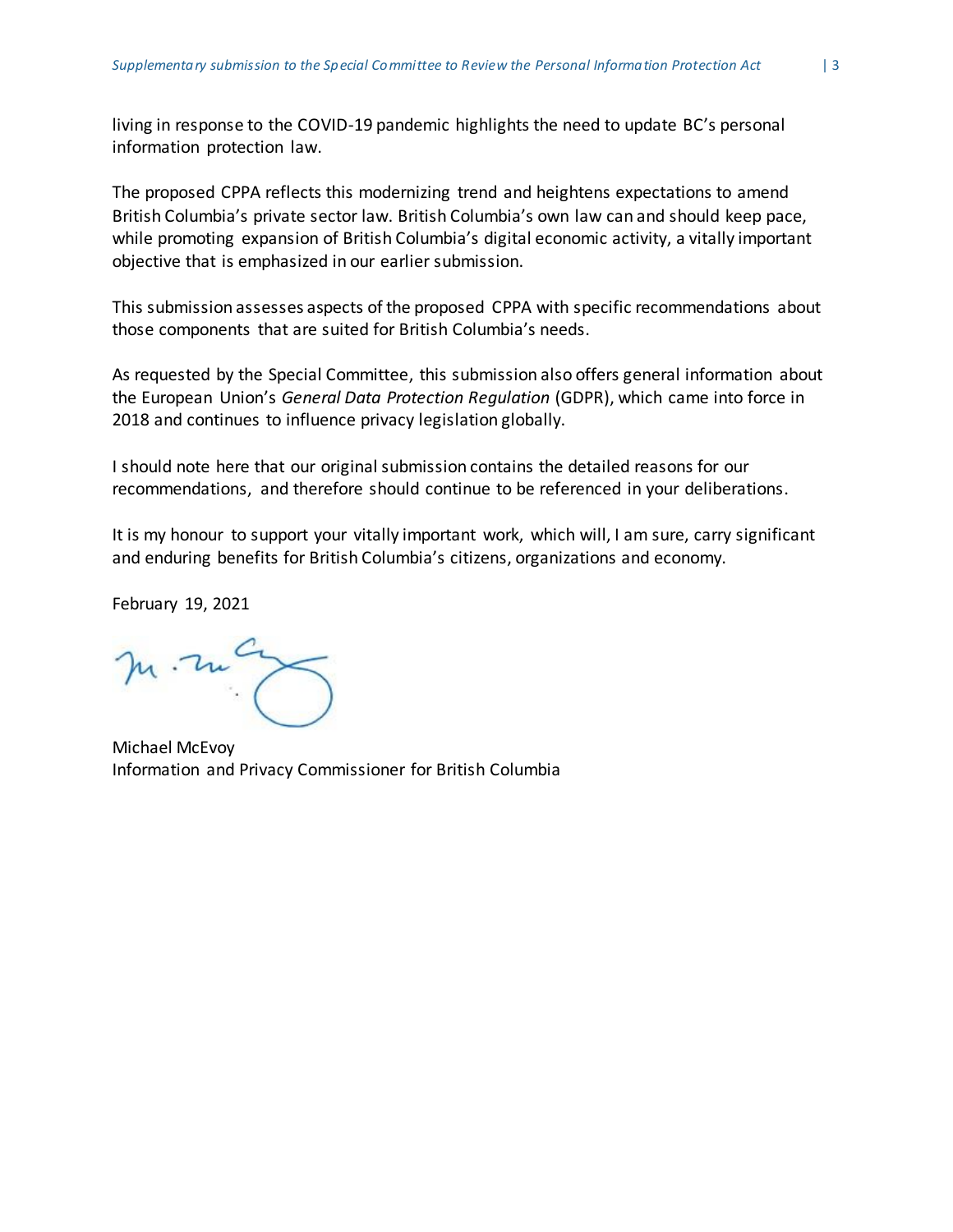living in response to the COVID-19 pandemic highlights the need to update BC's personal information protection law.

The proposed CPPA reflects this modernizing trend and heightens expectations to amend British Columbia's private sector law. British Columbia's own law can and should keep pace, while promoting expansion of British Columbia's digital economic activity, a vitally important objective that is emphasized in our earlier submission.

This submission assesses aspects of the proposed CPPA with specific recommendations about those components that are suited for British Columbia's needs.

As requested by the Special Committee, this submission also offers general information about the European Union's *General Data Protection Regulation* (GDPR), which came into force in 2018 and continues to influence privacy legislation globally.

I should note here that our original submission contains the detailed reasons for our recommendations, and therefore should continue to be referenced in your deliberations.

It is my honour to support your vitally important work, which will, I am sure, carry significant and enduring benefits for British Columbia's citizens, organizations and economy.

February 19, 2021

m. ma

Michael McEvoy Information and Privacy Commissioner for British Columbia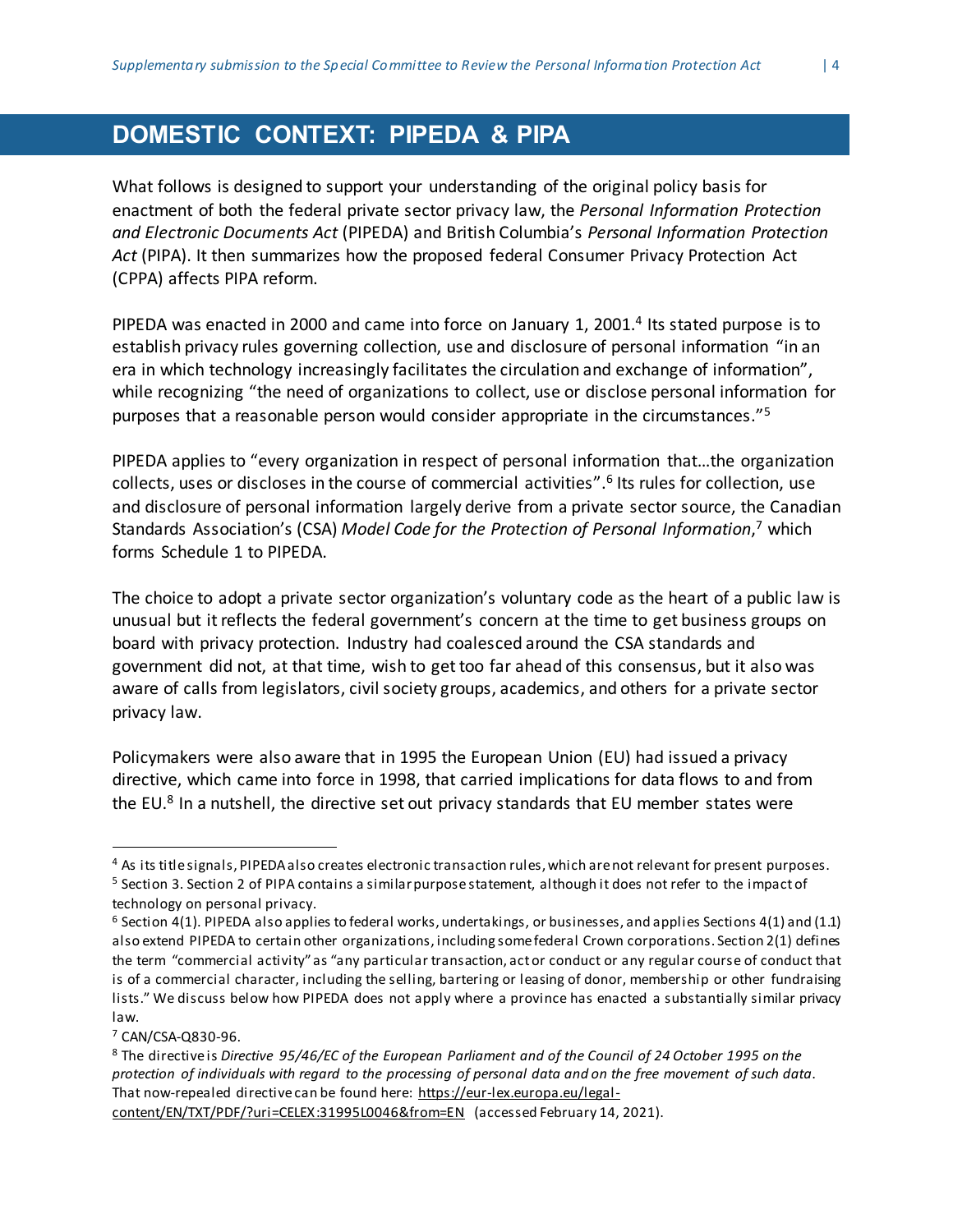## <span id="page-4-0"></span>**DOMESTIC CONTEXT: PIPEDA & PIPA**

What follows is designed to support your understanding of the original policy basis for enactment of both the federal private sector privacy law, the *Personal Information Protection and Electronic Documents Act* (PIPEDA) and British Columbia's *Personal Information Protection Act* (PIPA). It then summarizes how the proposed federal Consumer Privacy Protection Act (CPPA) affects PIPA reform.

PIPEDA was enacted in 2000 and came into force on January 1, 2001.<sup>4</sup> Its stated purpose is to establish privacy rules governing collection, use and disclosure of personal information "in an era in which technology increasingly facilitates the circulation and exchange of information", while recognizing "the need of organizations to collect, use or disclose personal information for purposes that a reasonable person would consider appropriate in the circumstances."<sup>5</sup>

PIPEDA applies to "every organization in respect of personal information that…the organization collects, uses or discloses in the course of commercial activities".<sup>6</sup> Its rules for collection, use and disclosure of personal information largely derive from a private sector source, the Canadian Standards Association's (CSA) *Model Code for the Protection of Personal Information*, <sup>7</sup> which forms Schedule 1 to PIPEDA.

The choice to adopt a private sector organization's voluntary code as the heart of a public law is unusual but itreflects the federal government's concern at the time to get business groups on board with privacy protection. Industry had coalesced around the CSA standards and government did not, at that time, wish to get too far ahead of this consensus, but it also was aware of calls from legislators, civil society groups, academics, and others for a private sector privacy law.

Policymakers were also aware that in 1995 the European Union (EU) had issued a privacy directive, which came into force in 1998, that carried implications for data flows to and from the EU.<sup>8</sup> In a nutshell, the directive set out privacy standards that EU member states were

<sup>7</sup> CAN/CSA-Q830-96.

 $\overline{a}$ 

<sup>4</sup> As its titlesignals, PIPEDAalso creates electronic transaction rules,which arenot relevant for present purposes.

<sup>&</sup>lt;sup>5</sup> Section 3. Section 2 of PIPA contains a similar purpose statement, although it does not refer to the impact of technology on personal privacy.

 $6$  Section 4(1). PIPEDA also applies to federal works, undertakings, or businesses, and applies Sections 4(1) and (1.1) also extend PIPEDA to certain other organizations, including somefederal Crown corporations. Section 2(1) defines the term "commercial activity" as "any particular transaction, actor conduct or any regular course of conduct that is of a commercial character, including the selling, bartering or leasing of donor, membership or other fundraising lists." We discuss below how PIPEDA does not apply where a province has enacted a substantially similar privacy law.

<sup>8</sup> The directiveis *Directive 95/46/EC of the European Parliament and of the Council of 24 October 1995 on the* protection of individuals with regard to the processing of personal data and on the free movement of such data. That now-repealed directive can be found here: [https://eur-lex.europa.eu/legal-](https://eur-lex.europa.eu/legal-content/EN/TXT/PDF/?uri=CELEX:31995L0046&from=EN)

[content/EN/TXT/PDF/?uri=CELEX:31995L0046&from=EN](https://eur-lex.europa.eu/legal-content/EN/TXT/PDF/?uri=CELEX:31995L0046&from=EN) (accessed February 14, 2021).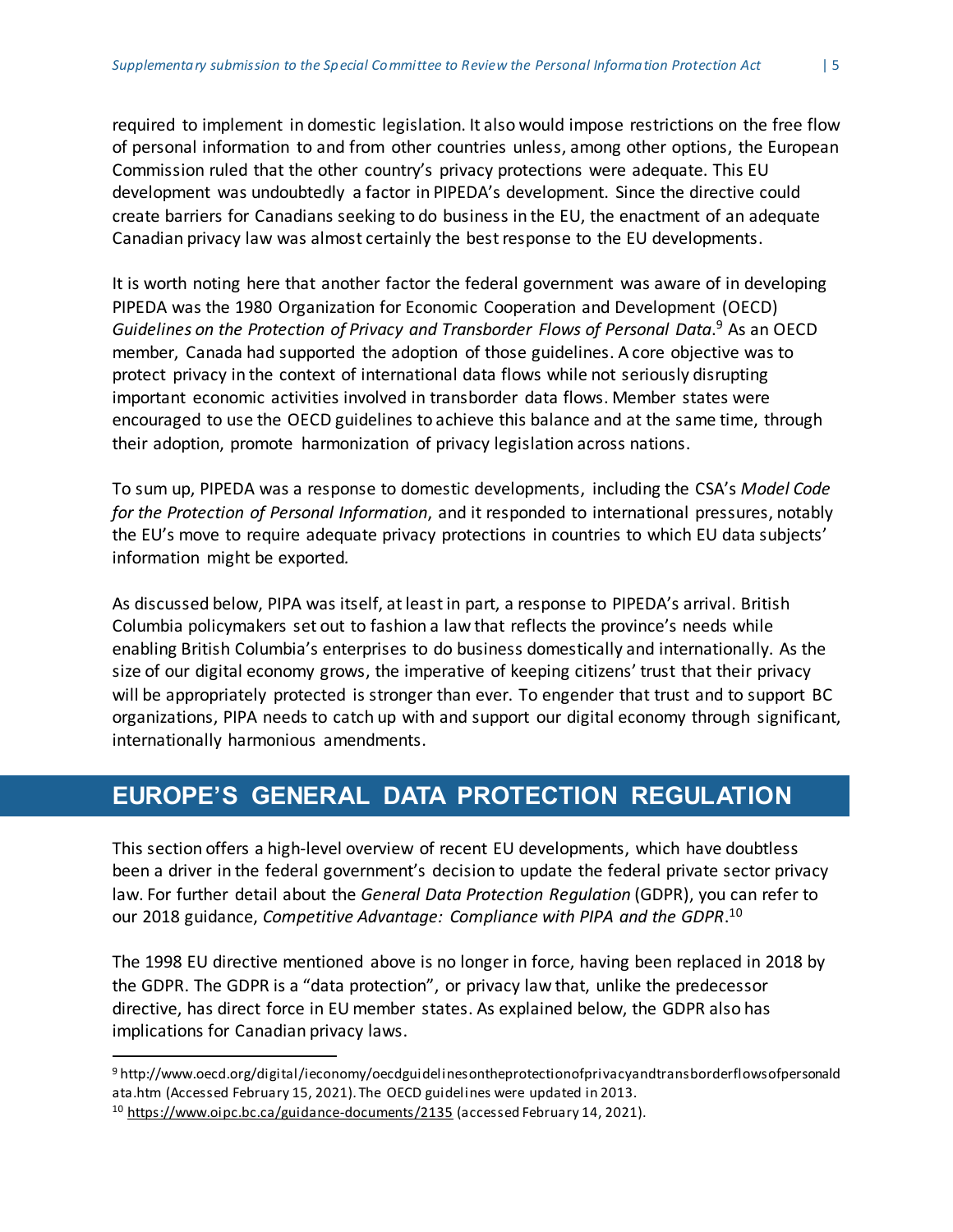required to implement in domestic legislation. It also would impose restrictions on the free flow of personal information to and from other countries unless, among other options, the European Commission ruled that the other country's privacy protections were adequate. This EU development was undoubtedly a factor in PIPEDA's development. Since the directive could create barriers for Canadians seeking to do business in the EU, the enactment of an adequate Canadian privacy law was almost certainly the bestresponse to the EU developments.

It is worth noting here that another factor the federal government was aware of in developing PIPEDA was the 1980 Organization for Economic Cooperation and Development (OECD) *Guidelines on the Protection of Privacy and Transborder Flows of Personal Data*. <sup>9</sup> As an OECD member, Canada had supported the adoption of those guidelines. A core objective was to protect privacy in the context of international data flows while not seriously disrupting important economic activities involved in transborder data flows. Member states were encouraged to use the OECD guidelines to achieve this balance and at the same time, through their adoption, promote harmonization of privacy legislation across nations.

To sum up, PIPEDA was a response to domestic developments, including the CSA's *Model Code for the Protection of Personal Information*, and it responded to international pressures, notably the EU's move to require adequate privacy protections in countries to which EU data subjects' information might be exported*.*

As discussed below, PIPA was itself, atleast in part, a response to PIPEDA's arrival. British Columbia policymakers set out to fashion a law that reflects the province's needs while enabling British Columbia's enterprises to do business domestically and internationally. As the size of our digital economy grows, the imperative of keeping citizens' trust that their privacy will be appropriately protected is stronger than ever. To engender that trust and to support BC organizations, PIPA needs to catch up with and support our digital economy through significant, internationally harmonious amendments.

## <span id="page-5-0"></span>**EUROPE'S GENERAL DATA PROTECTION REGULATION**

This section offers a high-level overview of recent EU developments, which have doubtless been a driver in the federal government's decision to update the federal private sector privacy law. For further detail about the *General Data Protection Regulation* (GDPR), you can refer to our 2018 guidance, *Competitive Advantage: Compliance with PIPA and the GDPR*. 10

The 1998 EU directive mentioned above is no longer in force, having been replaced in 2018 by the GDPR. The GDPR is a "data protection", or privacy law that, unlike the predecessor directive, has direct force in EU member states. As explained below, the GDPR also has implications for Canadian privacy laws.

<sup>9</sup> http://www.oecd.org/digital/ieconomy/oecdguidelinesontheprotectionofprivacyandtransborderflowsofpersonald ata.htm (Accessed February 15, 2021). The OECD guidelines were updated in 2013.

<sup>&</sup>lt;sup>10</sup> <https://www.oipc.bc.ca/guidance-documents/2135> (accessed February 14, 2021).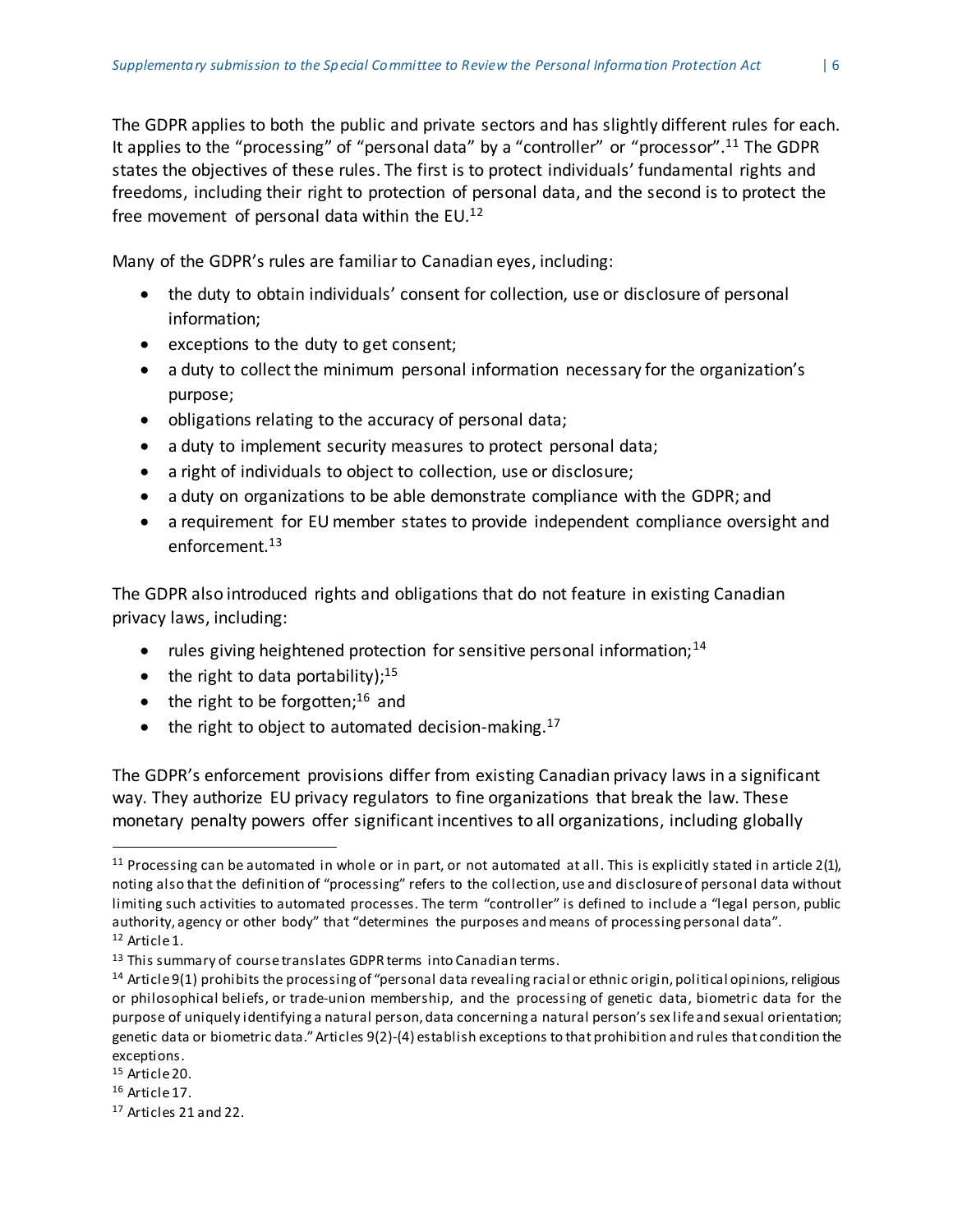The GDPR applies to both the public and private sectors and has slightly different rules for each. It applies to the "processing" of "personal data" by a "controller" or "processor".<sup>11</sup> The GDPR states the objectives of these rules. The first is to protect individuals' fundamental rights and freedoms, including their right to protection of personal data, and the second is to protect the free movement of personal data within the  $EU$ .<sup>12</sup>

Many of the GDPR's rules are familiarto Canadian eyes, including:

- the duty to obtain individuals' consent for collection, use or disclosure of personal information;
- exceptions to the duty to get consent;
- a duty to collect the minimum personal information necessary for the organization's purpose;
- obligations relating to the accuracy of personal data;
- a duty to implement security measures to protect personal data;
- a right of individuals to object to collection, use or disclosure;
- a duty on organizations to be able demonstrate compliance with the GDPR; and
- a requirement for EU member states to provide independent compliance oversight and enforcement.<sup>13</sup>

The GDPR also introduced rights and obligations that do not feature in existing Canadian privacy laws, including:

- rules giving heightened protection for sensitive personal information;<sup>14</sup>
- the right to data portability); $^{15}$
- the right to be forgotten;<sup>16</sup> and
- $\bullet$  the right to object to automated decision-making.<sup>17</sup>

The GDPR's enforcement provisions differ from existing Canadian privacy laws in a significant way. They authorize EU privacy regulators to fine organizations that break the law. These monetary penalty powers offer significant incentives to all organizations, including globally

 $\overline{a}$ 

<sup>&</sup>lt;sup>11</sup> Processing can be automated in whole or in part, or not automated at all. This is explicitly stated in article  $2(1)$ , noting also that the definition of "processing" refers to the collection, use and disclosureof personal data without limiting such activities to automated processes. The term "controller" is defined to include a "legal person, public authority, agency or other body" that "determines the purposes and means of processing personal data". <sup>12</sup> Article1.

<sup>&</sup>lt;sup>13</sup> This summary of course translates GDPR terms into Canadian terms.

 $14$  Article 9(1) prohibits the processing of "personal data revealing racial or ethnic origin, political opinions, religious or philosophical beliefs, or trade-union membership, and the processing of genetic data, biometric data for the purpose of uniquely identifying a natural person, data concerning a natural person's sex lifeand sexual orientation; genetic data or biometric data." Articles  $9(2)-(4)$  establish exceptions to that prohibition and rules that condition the exceptions.

<sup>15</sup> Article20.

<sup>16</sup> Article17.

<sup>17</sup> Articles 21 and 22.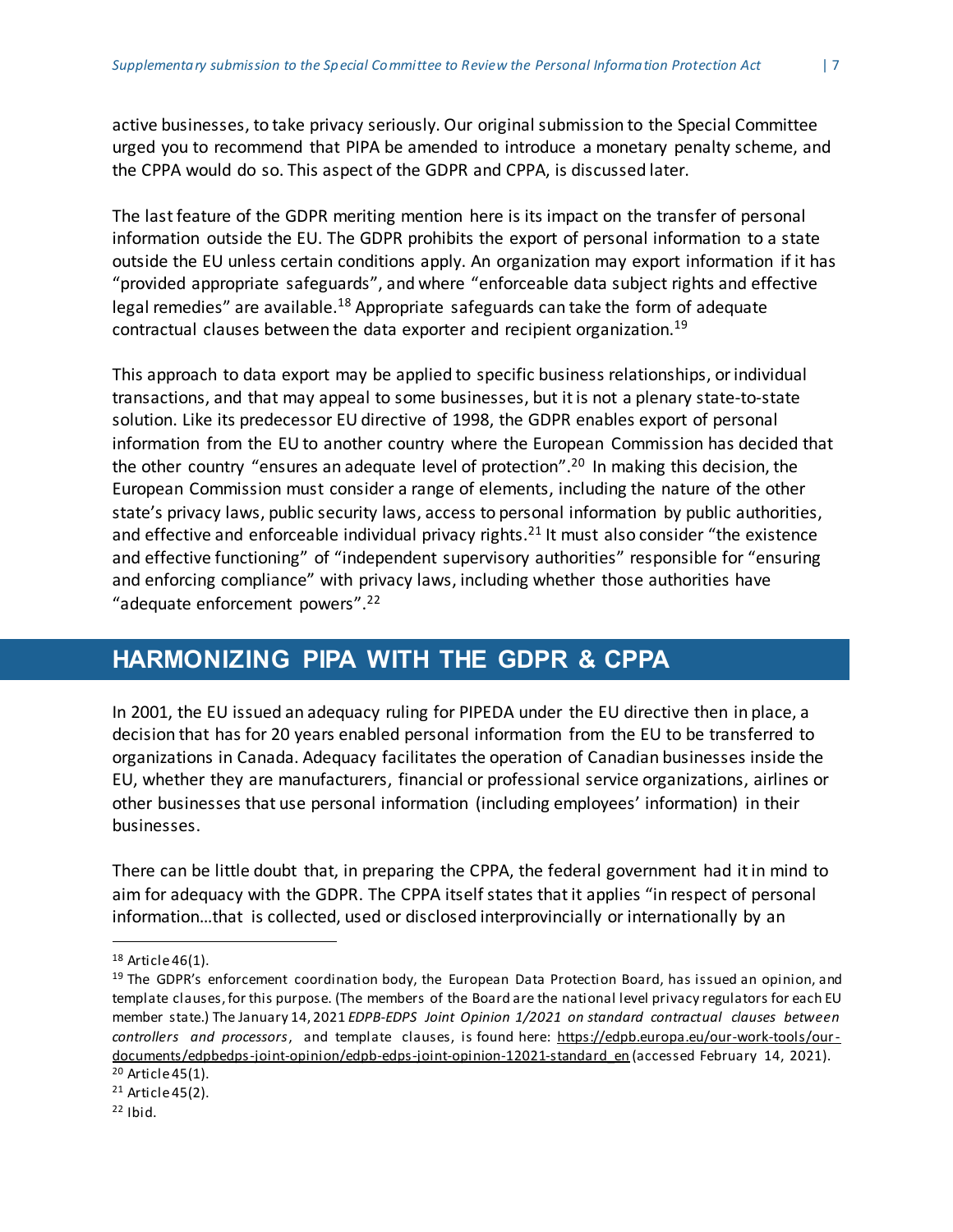active businesses, to take privacy seriously. Our original submission to the Special Committee urged you to recommend that PIPA be amended to introduce a monetary penalty scheme, and the CPPA would do so. This aspect of the GDPR and CPPA, is discussed later.

The last feature of the GDPR meriting mention here is its impact on the transfer of personal information outside the EU. The GDPR prohibits the export of personal information to a state outside the EU unless certain conditions apply. An organization may export information if it has "provided appropriate safeguards", and where "enforceable data subject rights and effective legal remedies" are available.<sup>18</sup> Appropriate safeguards can take the form of adequate contractual clauses between the data exporter and recipient organization.<sup>19</sup>

This approach to data export may be applied to specific business relationships, orindividual transactions, and that may appeal to some businesses, but itis not a plenary state-to-state solution. Like its predecessor EU directive of 1998, the GDPR enables export of personal information from the EU to another country where the European Commission has decided that the other country "ensures an adequate level of protection".<sup>20</sup> In making this decision, the European Commission must consider a range of elements, including the nature of the other state's privacy laws, public security laws, access to personal information by public authorities, and effective and enforceable individual privacy rights.<sup>21</sup> It must also consider "the existence and effective functioning" of "independent supervisory authorities" responsible for "ensuring and enforcing compliance" with privacy laws, including whether those authorities have "adequate enforcement powers".<sup>22</sup>

## <span id="page-7-0"></span>**HARMONIZING PIPA WITH THE GDPR & CPPA**

In 2001, the EU issued an adequacy ruling for PIPEDA under the EU directive then in place, a decision that has for 20 years enabled personal information from the EU to be transferred to organizations in Canada. Adequacy facilitates the operation of Canadian businesses inside the EU, whether they are manufacturers, financial or professional service organizations, airlines or other businesses that use personal information (including employees' information) in their businesses.

There can be little doubt that, in preparing the CPPA, the federal government had itin mind to aim for adequacy with the GDPR. The CPPA itself states that it applies "in respect of personal information…that is collected, used or disclosed interprovincially or internationally by an

 $18$  Article 46(1).

<sup>&</sup>lt;sup>19</sup> The GDPR's enforcement coordination body, the European Data Protection Board, has issued an opinion, and template clauses,for this purpose. (The members of the Board are the national level privacy regulators for each EU member state.) The January 14, 2021 *EDPB-EDPS Joint Opinion 1/2021 on standard contractual clauses between controllers and processors*, and template clauses, is found here: [https://edpb.europa.eu/our-work-tools/our](https://edpb.europa.eu/our-work-tools/our-documents/edpbedps-joint-opinion/edpb-edps-joint-opinion-12021-standard_en)[documents/edpbedps-joint-opinion/edpb-edps-joint-opinion-12021-standard\\_en](https://edpb.europa.eu/our-work-tools/our-documents/edpbedps-joint-opinion/edpb-edps-joint-opinion-12021-standard_en) (accessed February 14, 2021). <sup>20</sup> Article45(1).

 $21$  Article 45(2).

 $22$  Ibid.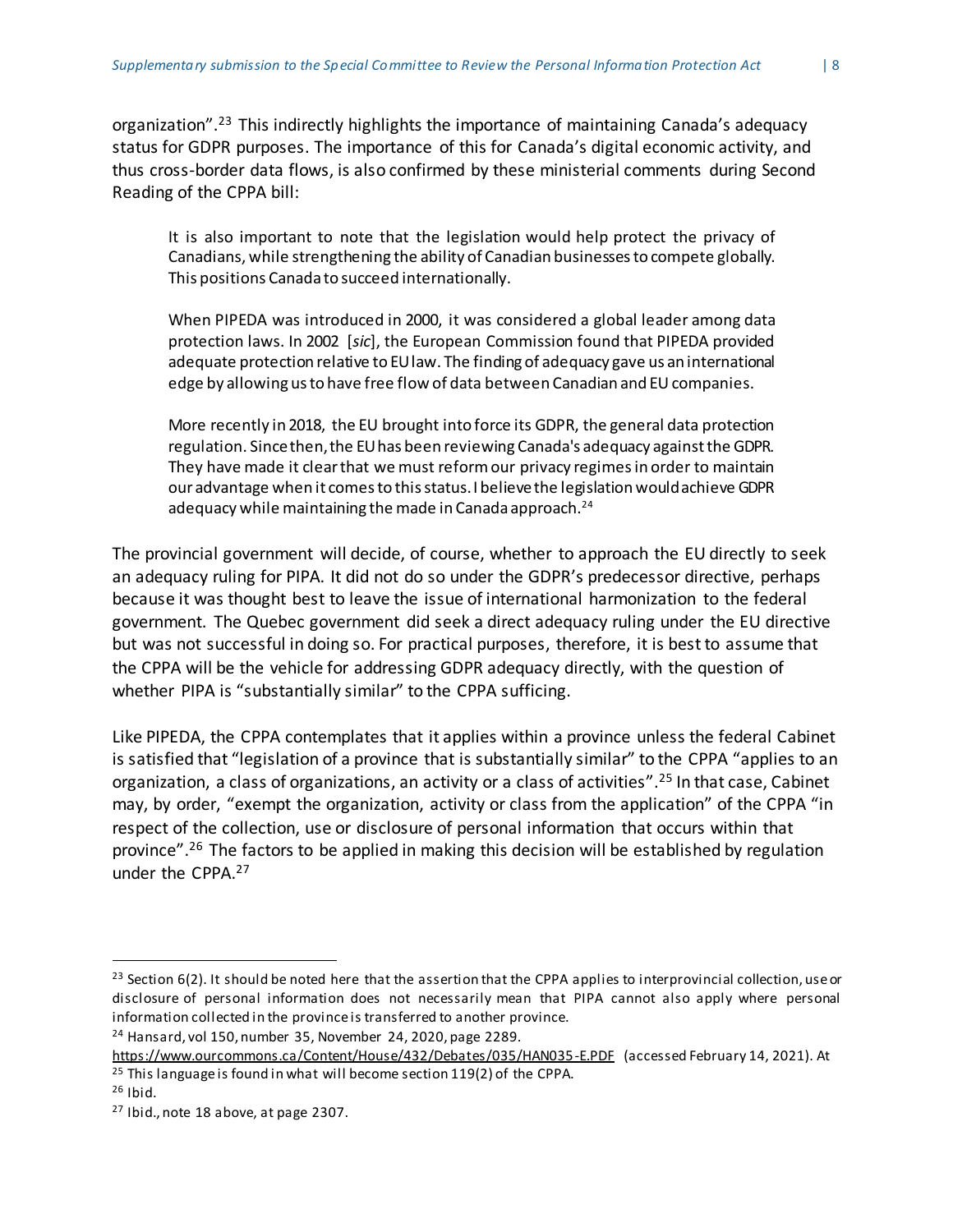organization".<sup>23</sup> This indirectly highlights the importance of maintaining Canada's adequacy status for GDPR purposes. The importance of this for Canada's digital economic activity, and thus cross-border data flows, is also confirmed by these ministerial comments during Second Reading of the CPPA bill:

It is also important to note that the legislation would help protect the privacy of Canadians, while strengthening the ability of Canadian businessesto compete globally. This positions Canada to succeed internationally.

When PIPEDA was introduced in 2000, it was considered a global leader among data protection laws. In 2002 [*sic*], the European Commission found that PIPEDA provided adequate protection relative to EUlaw. The finding of adequacy gave us an international edge by allowing us to have free flow of data between Canadian and EU companies.

More recently in 2018, the EU brought into force its GDPR, the general data protection regulation. Sincethen,the EUhas been reviewing Canada's adequacy againstthe GDPR. They have made it clearthat we must reformour privacy regimesin order to maintain our advantage when it comesto thisstatus.I believethe legislation wouldachieve GDPR adequacy while maintaining the made in Canada approach. $^{24}$ 

The provincial government will decide, of course, whether to approach the EU directly to seek an adequacy ruling for PIPA. It did not do so under the GDPR's predecessor directive, perhaps because it was thought best to leave the issue of international harmonization to the federal government. The Quebec government did seek a direct adequacy ruling under the EU directive but was not successful in doing so. For practical purposes, therefore, it is best to assume that the CPPA will be the vehicle for addressing GDPR adequacy directly, with the question of whether PIPA is "substantially similar" to the CPPA sufficing.

Like PIPEDA, the CPPA contemplates that it applies within a province unless the federal Cabinet is satisfied that "legislation of a province that is substantially similar" to the CPPA "applies to an organization, a class of organizations, an activity or a class of activities".<sup>25</sup> In that case, Cabinet may, by order, "exempt the organization, activity or class from the application" of the CPPA "in respect of the collection, use or disclosure of personal information that occurs within that province".<sup>26</sup> The factors to be applied in making this decision will be established by regulation under the CPPA.<sup>27</sup>

<sup>&</sup>lt;sup>23</sup> Section 6(2). It should be noted here that the assertion that the CPPA applies to interprovincial collection, use or disclosure of personal information does not necessarily mean that PIPA cannot also apply where personal information collected in the province is transferred to another province.

<sup>24</sup> Hansard, vol 150, number 35, November 24, 2020, page 2289.

<https://www.ourcommons.ca/Content/House/432/Debates/035/HAN035-E.PDF> (accessed February 14, 2021). At <sup>25</sup> This language is found in what will become section 119(2) of the CPPA.

 $26$  Ibid.

<sup>27</sup> Ibid., note 18 above, at page 2307.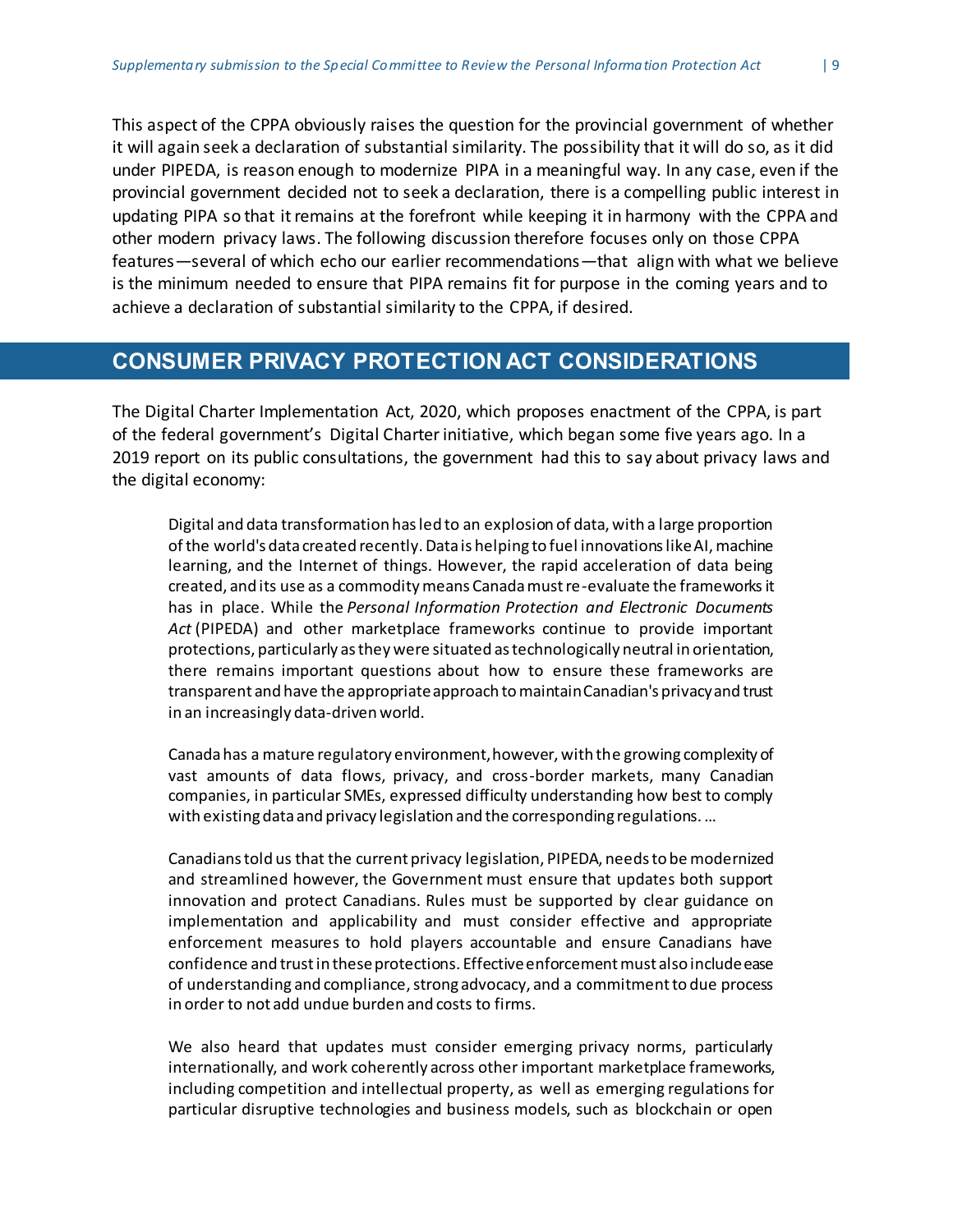This aspect of the CPPA obviously raises the question for the provincial government of whether it will again seek a declaration of substantial similarity. The possibility that it will do so, as it did under PIPEDA, is reason enough to modernize PIPA in a meaningful way. In any case, even if the provincial government decided not to seek a declaration, there is a compelling public interest in updating PIPA so that it remains at the forefront while keeping it in harmony with the CPPA and other modern privacy laws. The following discussion therefore focuses only on those CPPA features—several of which echo our earlier recommendations—that align with what we believe is the minimum needed to ensure that PIPA remains fit for purpose in the coming years and to achieve a declaration of substantial similarity to the CPPA, if desired.

## <span id="page-9-0"></span>**CONSUMER PRIVACY PROTECTION ACT CONSIDERATIONS**

The Digital Charter Implementation Act, 2020, which proposes enactment of the CPPA, is part of the federal government's Digital Charterinitiative, which began some five years ago. In a 2019 report on its public consultations, the government had this to say about privacy laws and the digital economy:

Digital and data transformation has led to an explosion of data, with a large proportion of the world's data created recently. Data is helping to fuel innovations like AI, machine learning, and the Internet of things. However, the rapid acceleration of data being created, and its use as a commodity means Canada must re-evaluate the frameworks it has in place. While the *Personal Information Protection and Electronic Documents Act* (PIPEDA) and other marketplace frameworks continue to provide important protections, particularly as they were situated as technologically neutral in orientation, there remains important questions about how to ensure these frameworks are transparent and have the appropriate approach to maintain Canadian's privacy and trust in an increasingly data-driven world.

Canada has a mature regulatory environment, however, with the growing complexity of vast amounts of data flows, privacy, and cross-border markets, many Canadian companies, in particular SMEs, expressed difficulty understanding how best to comply with existing data and privacy legislation and the corresponding regulations. …

Canadians told us that the current privacy legislation, PIPEDA, needs to be modernized and streamlined however, the Government must ensure that updates both support innovation and protect Canadians. Rules must be supported by clear guidance on implementation and applicability and must consider effective and appropriate enforcement measures to hold players accountable and ensure Canadians have confidence and trust in these protections. Effective enforcement must also include ease of understanding and compliance, strong advocacy, and a commitment to due process in order to not add undue burden and costs to firms.

We also heard that updates must consider emerging privacy norms, particularly internationally, and work coherently across other important marketplace frameworks, including competition and intellectual property, as well as emerging regulations for particular disruptive technologies and business models, such as blockchain or open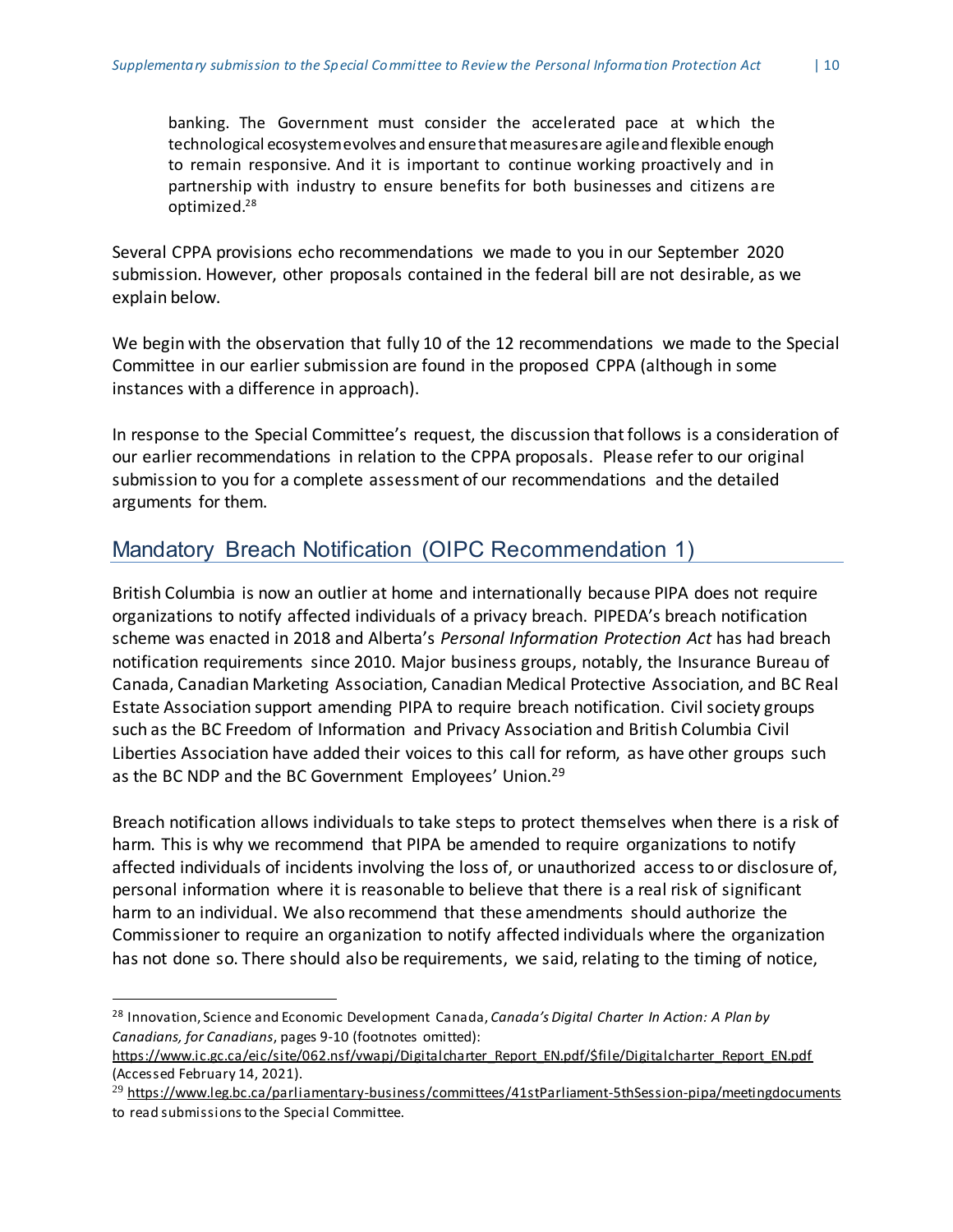banking. The Government must consider the accelerated pace at which the technological ecosystem evolves and ensure that measures are agile and flexible enough to remain responsive. And it is important to continue working proactively and in partnership with industry to ensure benefits for both businesses and citizens are optimized.<sup>28</sup>

Several CPPA provisions echo recommendations we made to you in our September 2020 submission. However, other proposals contained in the federal bill are not desirable, as we explain below.

We begin with the observation that fully 10 of the 12 recommendations we made to the Special Committee in our earlier submission are found in the proposed CPPA (although in some instances with a difference in approach).

In response to the Special Committee's request, the discussion that follows is a consideration of our earlier recommendations in relation to the CPPA proposals. Please refer to our original submission to you for a complete assessment of our recommendations and the detailed arguments for them.

#### <span id="page-10-0"></span>Mandatory Breach Notification (OIPC Recommendation 1)

British Columbia is now an outlier at home and internationally because PIPA does not require organizations to notify affected individuals of a privacy breach. PIPEDA's breach notification scheme was enacted in 2018 and Alberta's *Personal Information Protection Act* has had breach notification requirements since 2010. Major business groups, notably, the Insurance Bureau of Canada, Canadian Marketing Association, Canadian Medical Protective Association, and BC Real Estate Association support amending PIPA to require breach notification. Civil society groups such as the BC Freedom of Information and Privacy Association and British Columbia Civil Liberties Association have added their voices to this call for reform, as have other groups such as the BC NDP and the BC Government Employees' Union.<sup>29</sup>

Breach notification allows individuals to take steps to protect themselves when there is a risk of harm. This is why we recommend that PIPA be amended to require organizations to notify affected individuals of incidents involving the loss of, or unauthorized access to or disclosure of, personal information where it is reasonable to believe that there is a real risk of significant harm to an individual. We also recommend that these amendments should authorize the Commissioner to require an organization to notify affected individuals where the organization has not done so. There should also be requirements, we said, relating to the timing of notice,

<sup>28</sup> Innovation, Science and Economic Development Canada, *Canada's Digital Charter In Action: A Plan by Canadians, for Canadians*, pages 9-10 (footnotes omitted):

[https://www.ic.gc.ca/eic/site/062.nsf/vwapj/Digitalcharter\\_Report\\_EN.pdf/\\$file/Digitalcharter\\_Report\\_EN.pdf](https://www.ic.gc.ca/eic/site/062.nsf/vwapj/Digitalcharter_Report_EN.pdf/$file/Digitalcharter_Report_EN.pdf) (Accessed February 14, 2021).

<sup>&</sup>lt;sup>29</sup> <https://www.leg.bc.ca/parliamentary-business/committees/41stParliament-5thSession-pipa/meetingdocuments> to read submissions to the Special Committee.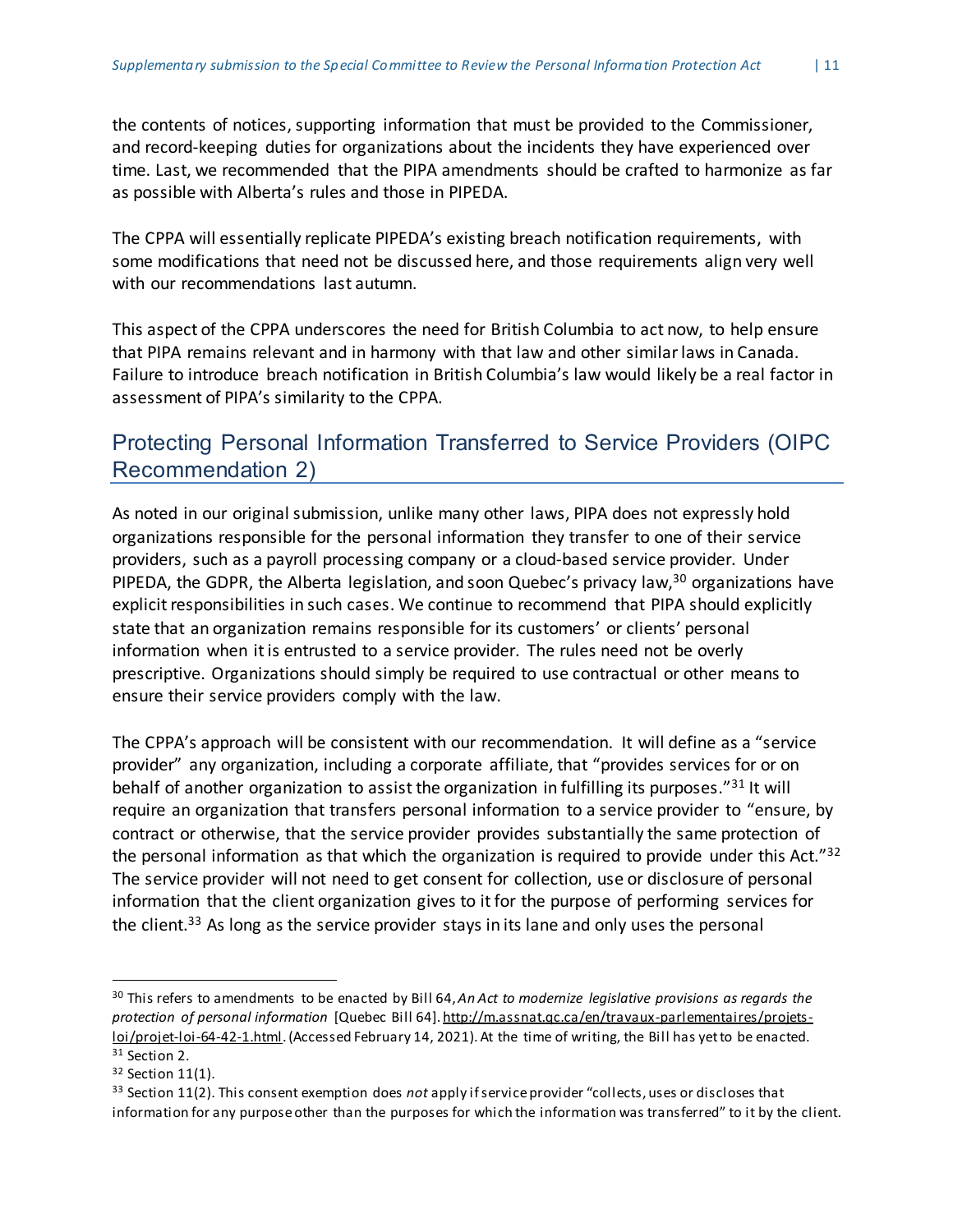the contents of notices, supporting information that must be provided to the Commissioner, and record-keeping duties for organizations about the incidents they have experienced over time. Last, we recommended that the PIPA amendments should be crafted to harmonize as far as possible with Alberta's rules and those in PIPEDA.

The CPPA will essentially replicate PIPEDA's existing breach notification requirements, with some modifications that need not be discussed here, and those requirements align very well with our recommendations last autumn.

This aspect of the CPPA underscores the need for British Columbia to act now, to help ensure that PIPA remains relevant and in harmony with that law and other similarlaws in Canada. Failure to introduce breach notification in British Columbia's law would likely be a real factor in assessment of PIPA's similarity to the CPPA.

#### <span id="page-11-0"></span>Protecting Personal Information Transferred to Service Providers (OIPC Recommendation 2)

As noted in our original submission, unlike many other laws, PIPA does not expressly hold organizations responsible for the personal information they transfer to one of their service providers, such as a payroll processing company or a cloud-based service provider. Under PIPEDA, the GDPR, the Alberta legislation, and soon Quebec's privacy law,<sup>30</sup> organizations have explicit responsibilities in such cases. We continue to recommend that PIPA should explicitly state that an organization remains responsible for its customers' or clients' personal information when itis entrusted to a service provider. The rules need not be overly prescriptive. Organizations should simply be required to use contractual or other means to ensure their service providers comply with the law.

The CPPA's approach will be consistent with our recommendation. It will define as a "service provider" any organization, including a corporate affiliate, that "provides services for or on behalf of another organization to assist the organization in fulfilling its purposes."<sup>31</sup> It will require an organization that transfers personal information to a service provider to "ensure, by contract or otherwise, that the service provider provides substantially the same protection of the personal information as that which the organization is required to provide under this Act." $32$ The service provider will not need to get consent for collection, use or disclosure of personal information that the client organization gives to it for the purpose of performing services for the client.<sup>33</sup> As long as the service provider stays in its lane and only uses the personal

<sup>30</sup> This refers to amendments to be enacted by Bill 64,*An Act to modernize legislative provisions as regards the protection of personal information* [Quebec Bill 64]. [http://m.assnat.qc.ca/en/travaux-parlementaires/projets](http://m.assnat.qc.ca/en/travaux-parlementaires/projets-loi/projet-loi-64-42-1.html)[loi/projet-loi-64-42-1.html.](http://m.assnat.qc.ca/en/travaux-parlementaires/projets-loi/projet-loi-64-42-1.html)(Accessed February 14, 2021).At the time of writing, the Bill has yetto be enacted. <sup>31</sup> Section 2.

<sup>32</sup> Section 11(1).

<sup>&</sup>lt;sup>33</sup> Section 11(2). This consent exemption does *not* apply if service provider "collects, uses or discloses that information for any purposeother than the purposes for which the information was transferred" to it by the client.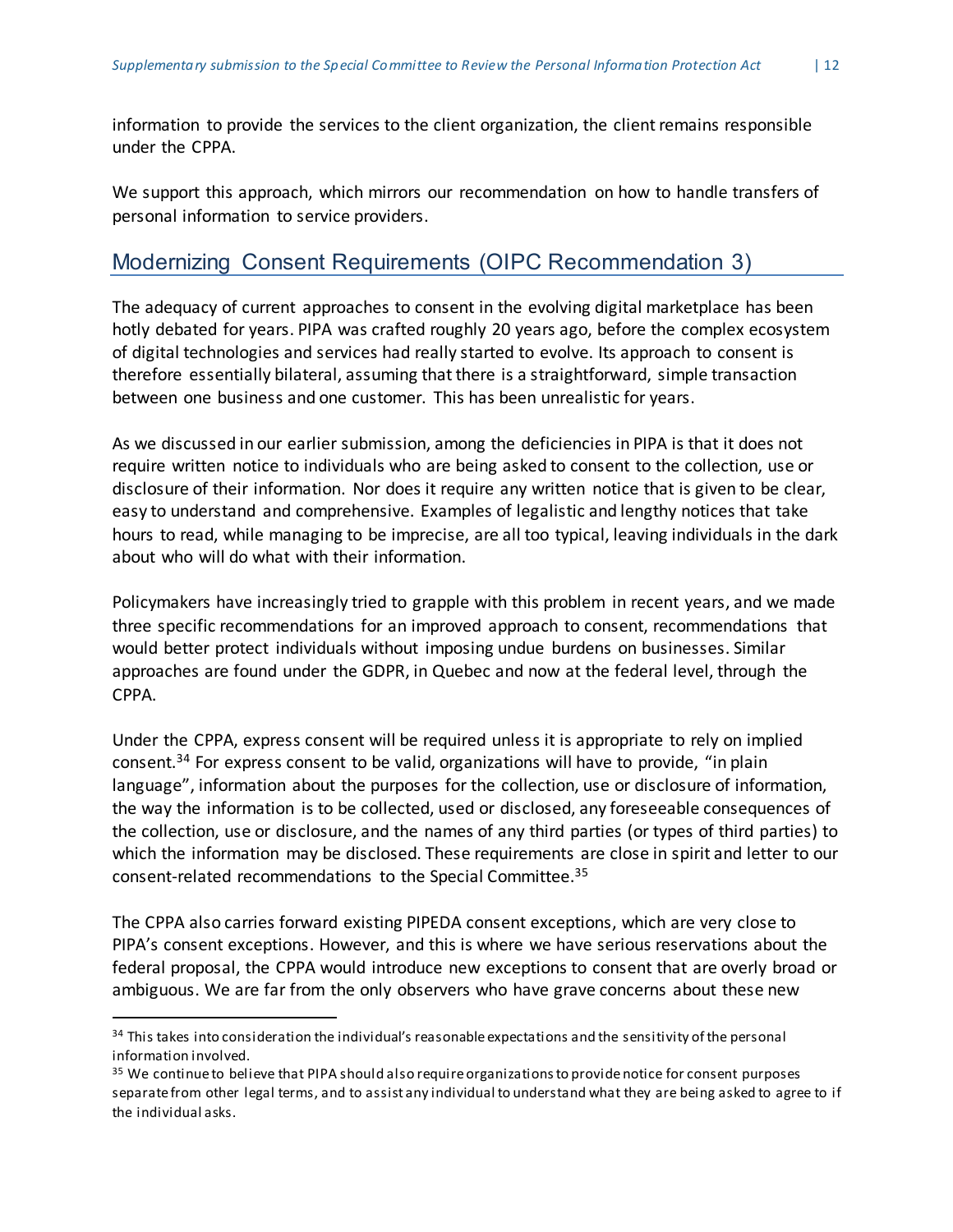information to provide the services to the client organization, the client remains responsible under the CPPA.

We support this approach, which mirrors our recommendation on how to handle transfers of personal information to service providers.

#### <span id="page-12-0"></span>Modernizing Consent Requirements (OIPC Recommendation 3)

The adequacy of current approaches to consent in the evolving digital marketplace has been hotly debated for years. PIPA was crafted roughly 20 years ago, before the complex ecosystem of digital technologies and services had really started to evolve. Its approach to consent is therefore essentially bilateral, assuming that there is a straightforward, simple transaction between one business and one customer. This has been unrealistic for years.

As we discussed in our earlier submission, among the deficiencies in PIPA is that it does not require written notice to individuals who are being asked to consent to the collection, use or disclosure of their information. Nor does it require any written notice that is given to be clear, easy to understand and comprehensive. Examples of legalistic and lengthy notices that take hours to read, while managing to be imprecise, are all too typical, leaving individuals in the dark about who will do what with their information.

Policymakers have increasingly tried to grapple with this problem in recent years, and we made three specific recommendations for an improved approach to consent, recommendations that would better protect individuals without imposing undue burdens on businesses. Similar approaches are found under the GDPR, in Quebec and now at the federal level, through the CPPA.

Under the CPPA, express consent will be required unless it is appropriate to rely on implied consent.<sup>34</sup> For express consent to be valid, organizations will have to provide, "in plain language", information about the purposes for the collection, use or disclosure of information, the way the information is to be collected, used or disclosed, any foreseeable consequences of the collection, use or disclosure, and the names of any third parties (or types of third parties) to which the information may be disclosed. These requirements are close in spirit and letter to our consent-related recommendations to the Special Committee.<sup>35</sup>

The CPPA also carries forward existing PIPEDA consent exceptions, which are very close to PIPA's consent exceptions. However, and this is where we have serious reservations about the federal proposal, the CPPA would introduce new exceptions to consent that are overly broad or ambiguous. We are far from the only observers who have grave concerns about these new

<sup>&</sup>lt;sup>34</sup> This takes into consideration the individual's reasonable expectations and the sensitivity of the personal information involved.

<sup>&</sup>lt;sup>35</sup> We continue to believe that PIPA should also require organizations to provide notice for consent purposes separatefrom other legal terms, and to assist any individual to understand what they are being asked to agree to if the individual asks.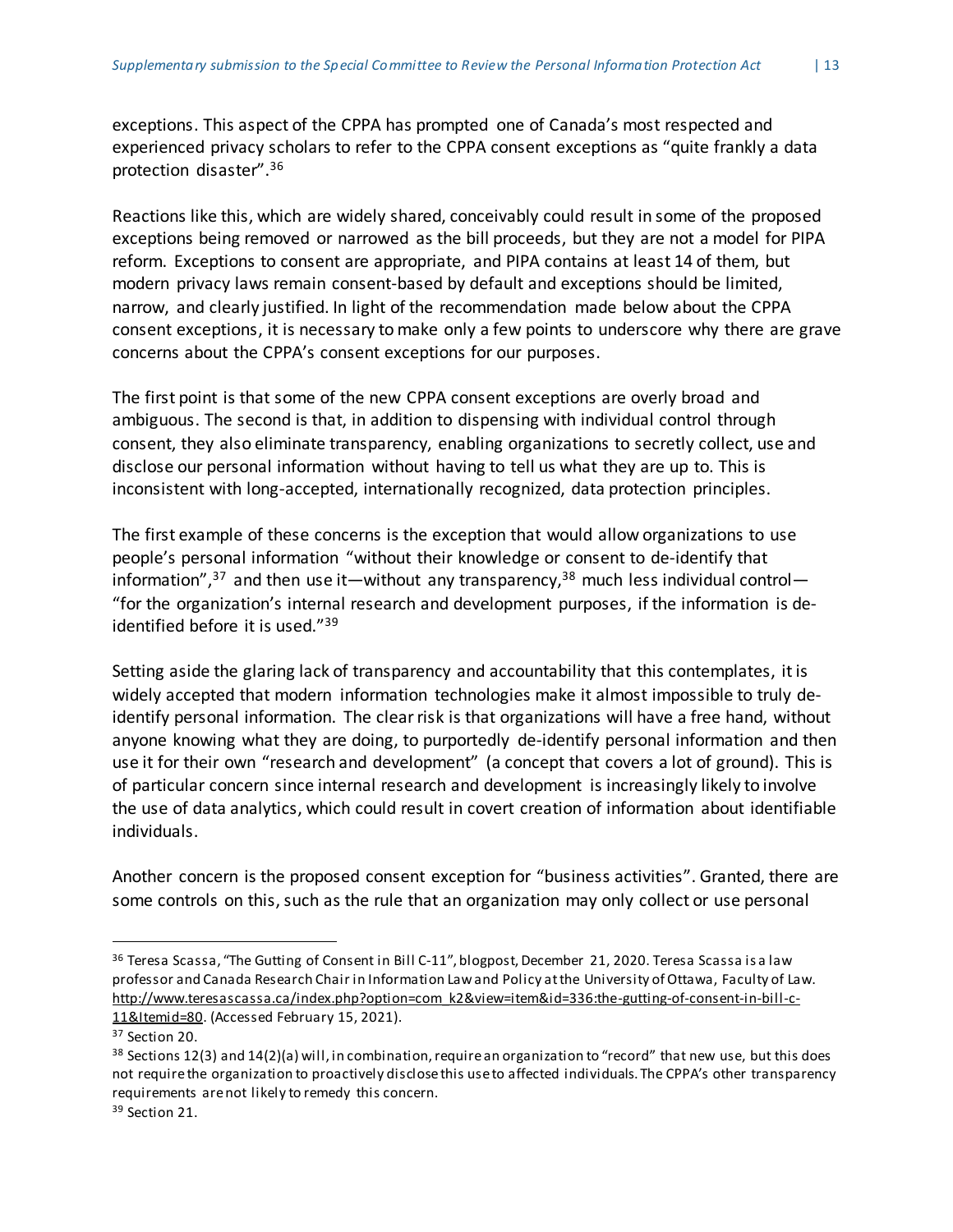exceptions. This aspect of the CPPA has prompted one of Canada's most respected and experienced privacy scholars to refer to the CPPA consent exceptions as "quite frankly a data protection disaster".<sup>36</sup>

Reactions like this, which are widely shared, conceivably could result in some of the proposed exceptions being removed or narrowed as the bill proceeds, but they are not a model for PIPA reform. Exceptions to consent are appropriate, and PIPA contains at least 14 of them, but modern privacy laws remain consent-based by default and exceptions should be limited, narrow, and clearly justified. In light of the recommendation made below about the CPPA consent exceptions, it is necessary to make only a few points to underscore why there are grave concerns about the CPPA's consent exceptions for our purposes.

The first point is that some of the new CPPA consent exceptions are overly broad and ambiguous. The second is that, in addition to dispensing with individual control through consent, they also eliminate transparency, enabling organizations to secretly collect, use and disclose our personal information without having to tell us what they are up to. This is inconsistent with long-accepted, internationally recognized, data protection principles.

The first example of these concerns is the exception that would allow organizations to use people's personal information "without their knowledge or consent to de-identify that information",<sup>37</sup> and then use it—without any transparency,<sup>38</sup> much less individual control— "for the organization's internal research and development purposes, if the information is deidentified before it is used."<sup>39</sup>

Setting aside the glaring lack of transparency and accountability that this contemplates, itis widely accepted that modern information technologies make it almost impossible to truly deidentify personal information. The clear risk is that organizations will have a free hand, without anyone knowing what they are doing, to purportedly de-identify personal information and then use it for their own "research and development" (a concept that covers a lot of ground). This is of particular concern since internal research and development is increasingly likely to involve the use of data analytics, which could result in covert creation of information about identifiable individuals.

Another concern is the proposed consent exception for "business activities". Granted, there are some controls on this, such as the rule that an organization may only collect or use personal

<sup>&</sup>lt;sup>36</sup> Teresa Scassa, "The Gutting of Consent in Bill C-11", blogpost, December 21, 2020. Teresa Scassa is a law professor and Canada Research Chair in Information Lawand Policy atthe University ofOttawa, Faculty of Law. [http://www.teresascassa.ca/index.php?option=com\\_k2&view=item&id=336:the-gutting-of-consent-in-bill-c-](http://www.teresascassa.ca/index.php?option=com_k2&view=item&id=336:the-gutting-of-consent-in-bill-c-11&Itemid=80)[11&Itemid=80.](http://www.teresascassa.ca/index.php?option=com_k2&view=item&id=336:the-gutting-of-consent-in-bill-c-11&Itemid=80) (Accessed February 15, 2021).

<sup>&</sup>lt;sup>37</sup> Section 20.

 $38$  Sections 12(3) and 14(2)(a) will, in combination, require an organization to "record" that new use, but this does not require the organization to proactively disclose this useto affected individuals. The CPPA's other transparency requirements arenot likely to remedy this concern.

<sup>&</sup>lt;sup>39</sup> Section 21.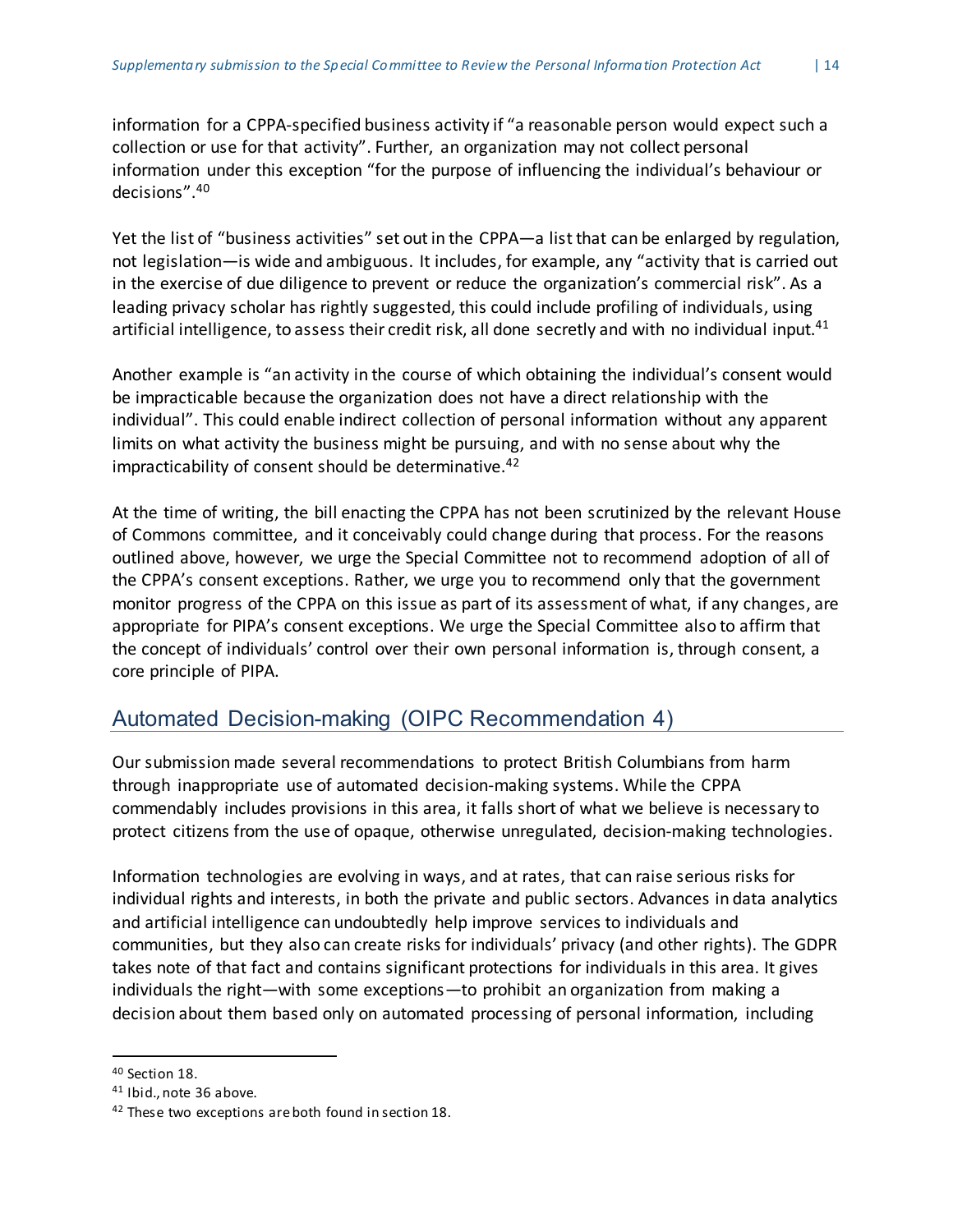information for a CPPA-specified business activity if "a reasonable person would expect such a collection or use for that activity". Further, an organization may not collect personal information under this exception "for the purpose of influencing the individual's behaviour or decisions".<sup>40</sup>

Yet the list of "business activities" set out in the CPPA—a list that can be enlarged by regulation, not legislation—is wide and ambiguous. It includes, for example, any "activity that is carried out in the exercise of due diligence to prevent or reduce the organization's commercial risk". As a leading privacy scholar has rightly suggested, this could include profiling of individuals, using artificial intelligence, to assess their credit risk, all done secretly and with no individual input.<sup>41</sup>

Another example is "an activity in the course of which obtaining the individual's consent would be impracticable because the organization does not have a direct relationship with the individual". This could enable indirect collection of personal information without any apparent limits on what activity the business might be pursuing, and with no sense about why the impracticability of consent should be determinative.<sup>42</sup>

At the time of writing, the bill enacting the CPPA has not been scrutinized by the relevant House of Commons committee, and it conceivably could change during that process. For the reasons outlined above, however, we urge the Special Committee not to recommend adoption of all of the CPPA's consent exceptions. Rather, we urge you to recommend only that the government monitor progress of the CPPA on this issue as part of its assessment of what, if any changes, are appropriate for PIPA's consent exceptions. We urge the Special Committee also to affirm that the concept of individuals' control over their own personal information is, through consent, a core principle of PIPA.

#### <span id="page-14-0"></span>Automated Decision-making (OIPC Recommendation 4)

Our submission made several recommendations to protect British Columbians from harm through inappropriate use of automated decision-making systems. While the CPPA commendably includes provisions in this area, it falls short of what we believe is necessary to protect citizens from the use of opaque, otherwise unregulated, decision-making technologies.

Information technologies are evolving in ways, and at rates, that can raise serious risks for individual rights and interests, in both the private and public sectors. Advances in data analytics and artificial intelligence can undoubtedly help improve services to individuals and communities, but they also can create risks for individuals' privacy (and other rights). The GDPR takes note of that fact and contains significant protections for individuals in this area. It gives individuals the right—with some exceptions—to prohibit an organization from making a decision about them based only on automated processing of personal information, including

<sup>40</sup> Section 18.

<sup>41</sup> Ibid., note 36 above.

<sup>&</sup>lt;sup>42</sup> These two exceptions are both found in section 18.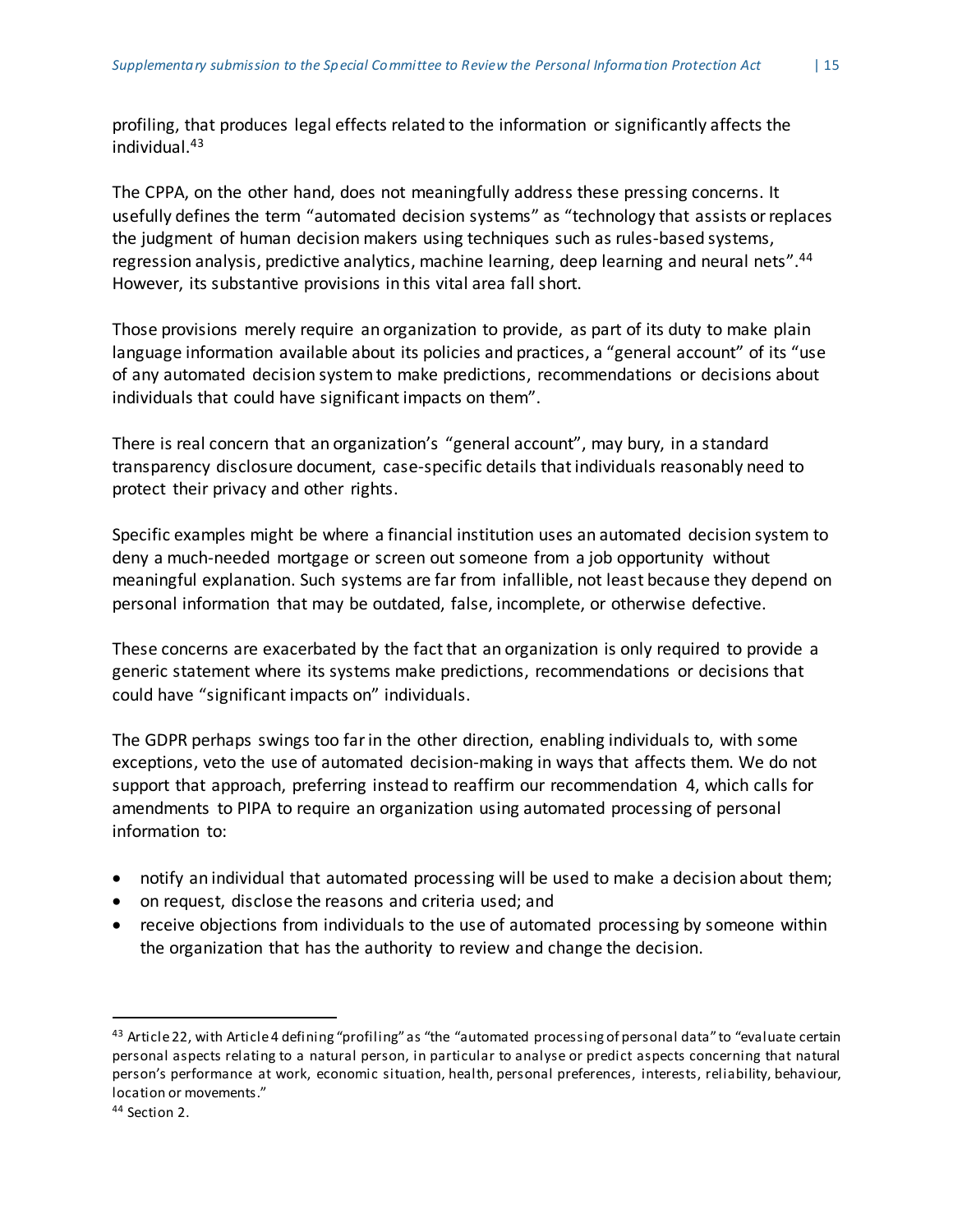profiling, that produces legal effects related to the information or significantly affects the individual.<sup>43</sup>

The CPPA, on the other hand, does not meaningfully address these pressing concerns. It usefully defines the term "automated decision systems" as "technology that assists orreplaces the judgment of human decision makers using techniques such as rules-based systems, regression analysis, predictive analytics, machine learning, deep learning and neural nets".<sup>44</sup> However, its substantive provisions in this vital area fall short.

Those provisions merely require an organization to provide, as part of its duty to make plain language information available about its policies and practices, a "general account" of its "use of any automated decision systemto make predictions, recommendations or decisions about individuals that could have significant impacts on them".

There is real concern that an organization's "general account", may bury, in a standard transparency disclosure document, case-specific details that individuals reasonably need to protect their privacy and other rights.

Specific examples might be where a financial institution uses an automated decision system to deny a much-needed mortgage or screen out someone from a job opportunity without meaningful explanation. Such systems are far from infallible, not least because they depend on personal information that may be outdated, false, incomplete, or otherwise defective.

These concerns are exacerbated by the fact that an organization is only required to provide a generic statement where its systems make predictions, recommendations or decisions that could have "significant impacts on" individuals.

The GDPR perhaps swings too farin the other direction, enabling individuals to, with some exceptions, veto the use of automated decision-making in ways that affects them. We do not support that approach, preferring instead to reaffirm our recommendation 4, which calls for amendments to PIPA to require an organization using automated processing of personal information to:

- notify an individual that automated processing will be used to make a decision about them;
- on request, disclose the reasons and criteria used; and
- receive objections from individuals to the use of automated processing by someone within the organization that has the authority to review and change the decision.

 $43$  Article 22, with Article 4 defining "profiling" as "the "automated processing of personal data" to "evaluate certain personal aspects relating to a natural person, in particular to analyse or predict aspects concerning that natural person's performance at work, economic situation, health, personal preferences, interests, reliability, behaviour, location or movements."

<sup>44</sup> Section 2.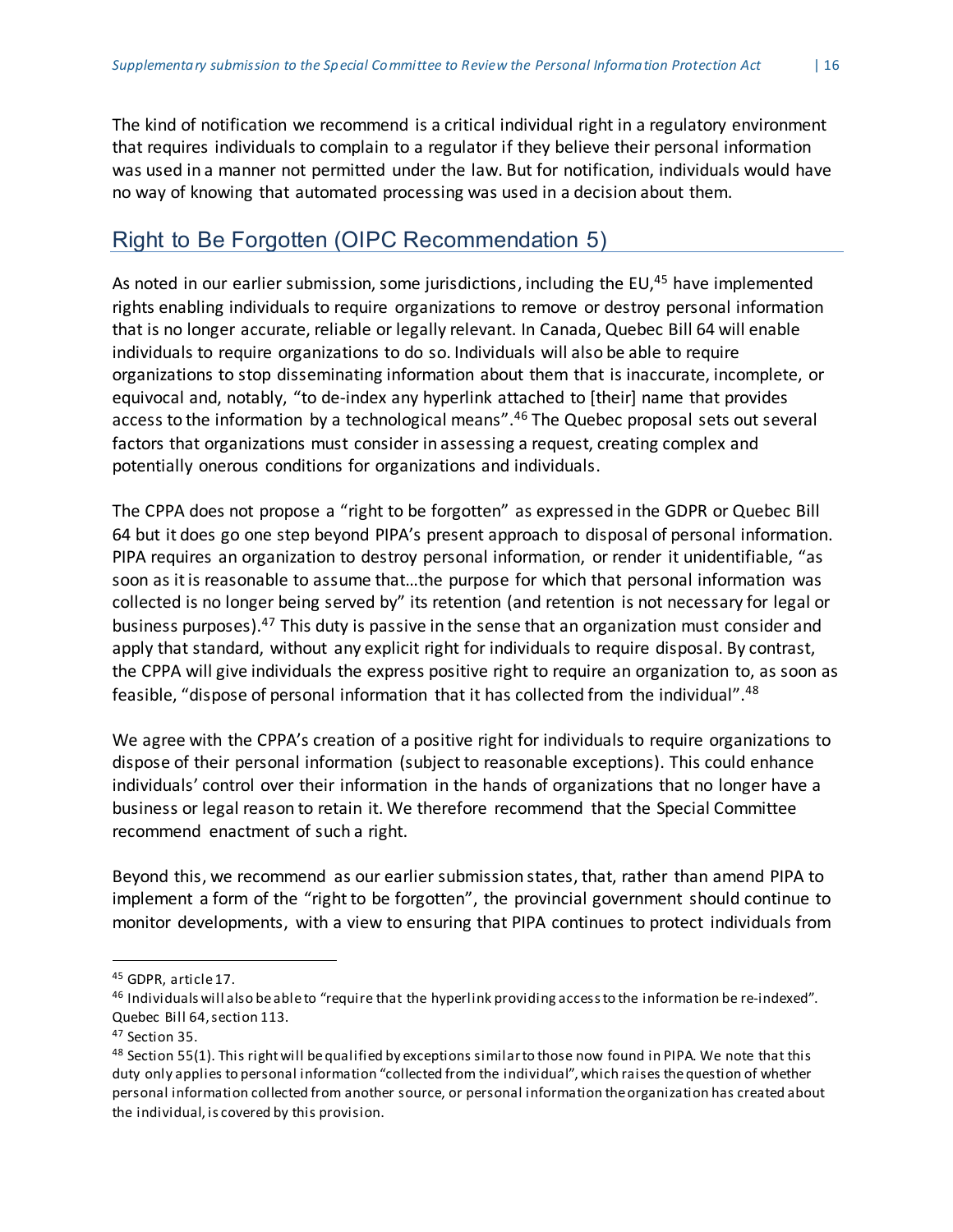The kind of notification we recommend is a critical individual right in a regulatory environment that requires individuals to complain to a regulator if they believe their personal information was used in a manner not permitted under the law. But for notification, individuals would have no way of knowing that automated processing was used in a decision about them.

#### <span id="page-16-0"></span>Right to Be Forgotten (OIPC Recommendation 5)

As noted in our earlier submission, some jurisdictions, including the EU,<sup>45</sup> have implemented rights enabling individuals to require organizations to remove or destroy personal information that is no longer accurate, reliable or legally relevant. In Canada, Quebec Bill 64 will enable individuals to require organizations to do so. Individuals will also be able to require organizations to stop disseminating information about them that is inaccurate, incomplete, or equivocal and, notably, "to de-index any hyperlink attached to [their] name that provides access to the information by a technological means".<sup>46</sup> The Quebec proposal sets out several factors that organizations must consider in assessing a request, creating complex and potentially onerous conditions for organizations and individuals.

The CPPA does not propose a "right to be forgotten" as expressed in the GDPR or Quebec Bill 64 but it does go one step beyond PIPA's present approach to disposal of personal information. PIPA requires an organization to destroy personal information, or render it unidentifiable, "as soon as it is reasonable to assume that...the purpose for which that personal information was collected is no longer being served by" its retention (and retention is not necessary for legal or business purposes).<sup>47</sup> This duty is passive in the sense that an organization must consider and apply that standard, without any explicit right for individuals to require disposal. By contrast, the CPPA will give individuals the express positive right to require an organization to, as soon as feasible, "dispose of personal information that it has collected from the individual".<sup>48</sup>

We agree with the CPPA's creation of a positive right for individuals to require organizations to dispose of their personal information (subject to reasonable exceptions). This could enhance individuals' control over their information in the hands of organizations that no longer have a business or legal reason to retain it. We therefore recommend that the Special Committee recommend enactment of such a right.

Beyond this, we recommend as our earlier submission states, that, rather than amend PIPA to implement a form of the "right to be forgotten", the provincial government should continue to monitor developments, with a view to ensuring that PIPA continues to protect individuals from

<sup>45</sup> GDPR, article17.

<sup>46</sup> Individuals will also beableto "require that the hyperlink providing accessto the information be re-indexed". Quebec Bill 64,section 113.

<sup>47</sup> Section 35.

 $48$  Section 55(1). This right will be qualified by exceptions similar to those now found in PIPA. We note that this duty only applies to personal information "collected from the individual", which raises thequestion of whether personal information collected from another source, or personal information theorganization has created about the individual, is covered by this provision.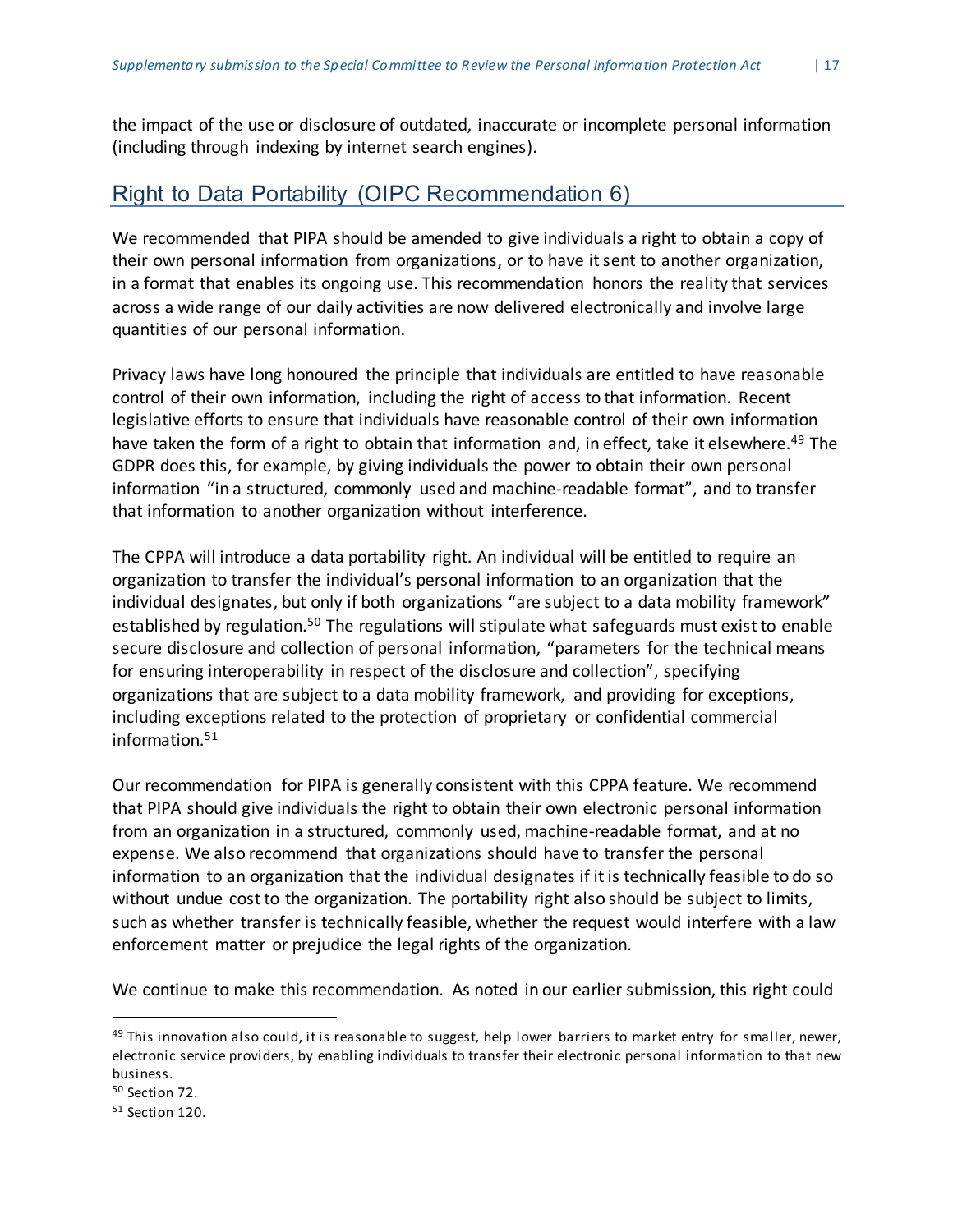the impact of the use or disclosure of outdated, inaccurate or incomplete personal information (including through indexing by internet search engines).

#### <span id="page-17-0"></span>Right to Data Portability (OIPC Recommendation 6)

We recommended that PIPA should be amended to give individuals a right to obtain a copy of their own personal information from organizations, or to have itsent to another organization, in a format that enables its ongoing use. This recommendation honors the reality that services across a wide range of our daily activities are now delivered electronically and involve large quantities of our personal information.

Privacy laws have long honoured the principle that individuals are entitled to have reasonable control of their own information, including the right of access to that information. Recent legislative efforts to ensure that individuals have reasonable control of their own information have taken the form of a right to obtain that information and, in effect, take it elsewhere.<sup>49</sup> The GDPR does this, for example, by giving individuals the power to obtain their own personal information "in a structured, commonly used and machine-readable format", and to transfer that information to another organization without interference.

The CPPA will introduce a data portability right. An individual will be entitled to require an organization to transfer the individual's personal information to an organization that the individual designates, but only if both organizations "are subject to a data mobility framework" established by regulation.<sup>50</sup> The regulations will stipulate what safeguards must exist to enable secure disclosure and collection of personal information, "parameters for the technical means for ensuring interoperability in respect of the disclosure and collection", specifying organizations that are subject to a data mobility framework, and providing for exceptions, including exceptions related to the protection of proprietary or confidential commercial information.<sup>51</sup>

Our recommendation for PIPA is generally consistent with this CPPA feature. We recommend that PIPA should give individuals the right to obtain their own electronic personal information from an organization in a structured, commonly used, machine-readable format, and at no expense. We also recommend that organizations should have to transfer the personal information to an organization that the individual designates if itis technically feasible to do so without undue cost to the organization. The portability right also should be subject to limits, such as whether transfer is technically feasible, whether the request would interfere with a law enforcement matter or prejudice the legal rights of the organization.

We continue to make this recommendation. As noted in our earlier submission, this right could

 $49$  This innovation also could, it is reasonable to suggest, help lower barriers to market entry for smaller, newer, electronic service providers, by enabling individuals to transfer their electronic personal information to that new business.

<sup>50</sup> Section 72.

<sup>51</sup> Section 120.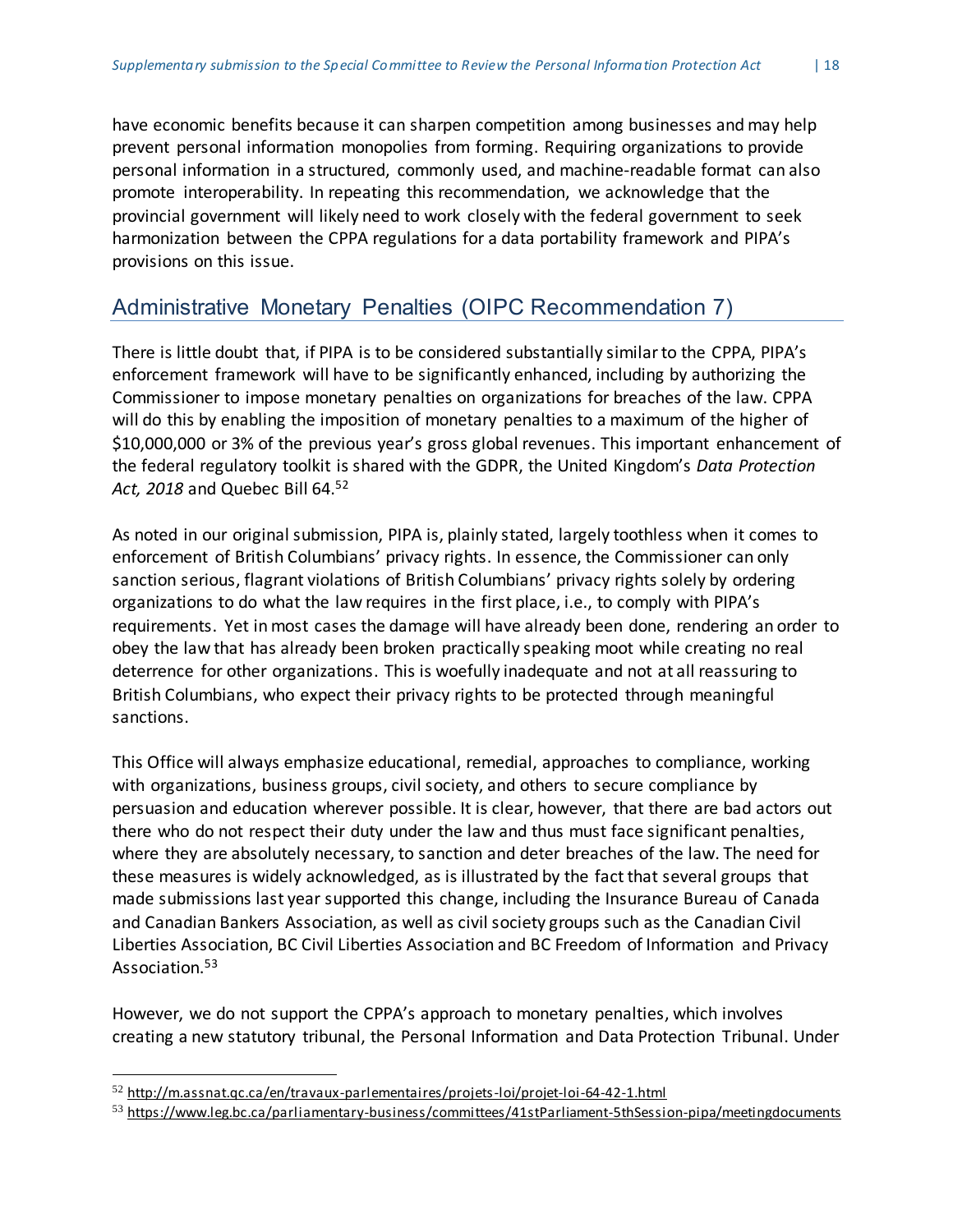have economic benefits because it can sharpen competition among businesses and may help prevent personal information monopolies from forming. Requiring organizations to provide personal information in a structured, commonly used, and machine-readable format can also promote interoperability. In repeating this recommendation, we acknowledge that the provincial government will likely need to work closely with the federal government to seek harmonization between the CPPA regulations for a data portability framework and PIPA's provisions on this issue.

#### <span id="page-18-0"></span>Administrative Monetary Penalties (OIPC Recommendation 7)

There is little doubt that, if PIPA is to be considered substantially similarto the CPPA, PIPA's enforcement framework will have to be significantly enhanced, including by authorizing the Commissioner to impose monetary penalties on organizations for breaches of the law. CPPA will do this by enabling the imposition of monetary penalties to a maximum of the higher of \$10,000,000 or 3% of the previous year's gross global revenues. This important enhancement of the federal regulatory toolkit is shared with the GDPR, the United Kingdom's *Data Protection Act, 2018* and Quebec Bill 64. 52

As noted in our original submission, PIPA is, plainly stated, largely toothless when it comes to enforcement of British Columbians' privacy rights. In essence, the Commissioner can only sanction serious, flagrant violations of British Columbians' privacy rights solely by ordering organizations to do what the law requires in the first place, i.e., to comply with PIPA's requirements. Yet in most cases the damage will have already been done, rendering an order to obey the law that has already been broken practically speaking moot while creating no real deterrence for other organizations. This is woefully inadequate and not at all reassuring to British Columbians, who expect their privacy rights to be protected through meaningful sanctions.

This Office will always emphasize educational, remedial, approaches to compliance, working with organizations, business groups, civil society, and others to secure compliance by persuasion and education wherever possible. It is clear, however, that there are bad actors out there who do not respect their duty under the law and thus must face significant penalties, where they are absolutely necessary, to sanction and deter breaches of the law. The need for these measures is widely acknowledged, as is illustrated by the fact that several groups that made submissions last year supported this change, including the Insurance Bureau of Canada and Canadian Bankers Association, as well as civil society groups such as the Canadian Civil Liberties Association, BC Civil Liberties Association and BC Freedom of Information and Privacy Association.<sup>53</sup>

However, we do not support the CPPA's approach to monetary penalties, which involves creating a new statutory tribunal, the Personal Information and Data Protection Tribunal. Under

<sup>52</sup> <http://m.assnat.qc.ca/en/travaux-parlementaires/projets-loi/projet-loi-64-42-1.html>

<sup>53</sup> <https://www.leg.bc.ca/parliamentary-business/committees/41stParliament-5thSession-pipa/meetingdocuments>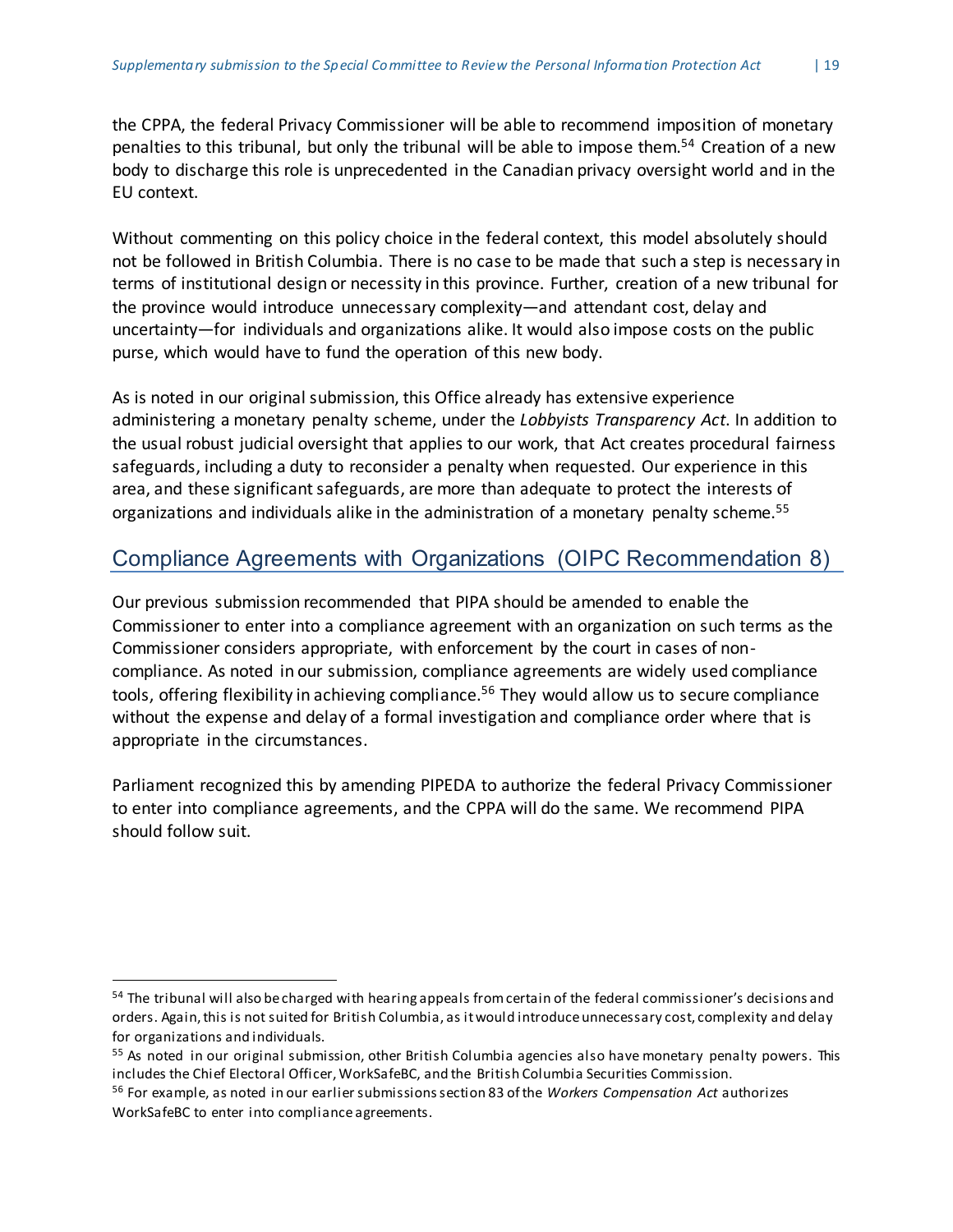the CPPA, the federal Privacy Commissioner will be able to recommend imposition of monetary penalties to this tribunal, but only the tribunal will be able to impose them.<sup>54</sup> Creation of a new body to discharge this role is unprecedented in the Canadian privacy oversight world and in the EU context.

Without commenting on this policy choice in the federal context, this model absolutely should not be followed in British Columbia. There is no case to be made that such a step is necessary in terms of institutional design or necessity in this province. Further, creation of a new tribunal for the province would introduce unnecessary complexity—and attendant cost, delay and uncertainty—for individuals and organizations alike. It would also impose costs on the public purse, which would have to fund the operation of this new body.

As is noted in our original submission, this Office already has extensive experience administering a monetary penalty scheme, under the *Lobbyists Transparency Act*. In addition to the usual robust judicial oversight that applies to our work, that Act creates procedural fairness safeguards, including a duty to reconsider a penalty when requested. Our experience in this area, and these significant safeguards, are more than adequate to protect the interests of organizations and individuals alike in the administration of a monetary penalty scheme.<sup>55</sup>

## <span id="page-19-0"></span>Compliance Agreements with Organizations (OIPC Recommendation 8)

Our previous submission recommended that PIPA should be amended to enable the Commissioner to enter into a compliance agreement with an organization on such terms as the Commissioner considers appropriate, with enforcement by the court in cases of noncompliance. As noted in our submission, compliance agreements are widely used compliance tools, offering flexibility in achieving compliance.<sup>56</sup> They would allow us to secure compliance without the expense and delay of a formal investigation and compliance order where that is appropriate in the circumstances.

Parliament recognized this by amending PIPEDA to authorize the federal Privacy Commissioner to enter into compliance agreements, and the CPPA will do the same. We recommend PIPA should follow suit.

<sup>&</sup>lt;sup>54</sup> The tribunal will also be charged with hearing appeals from certain of the federal commissioner's decisions and orders. Again, this is not suited for British Columbia, as it would introduce unnecessary cost, complexity and delay for organizations and individuals.

<sup>&</sup>lt;sup>55</sup> As noted in our original submission, other British Columbia agencies also have monetary penalty powers. This includes the Chief Electoral Officer, WorkSafeBC, and the British Columbia Securities Commission.

<sup>56</sup> For example, as noted in our earliersubmissionssection 83 ofthe *Workers Compensation Act* authorizes WorkSafeBC to enter into compliance agreements.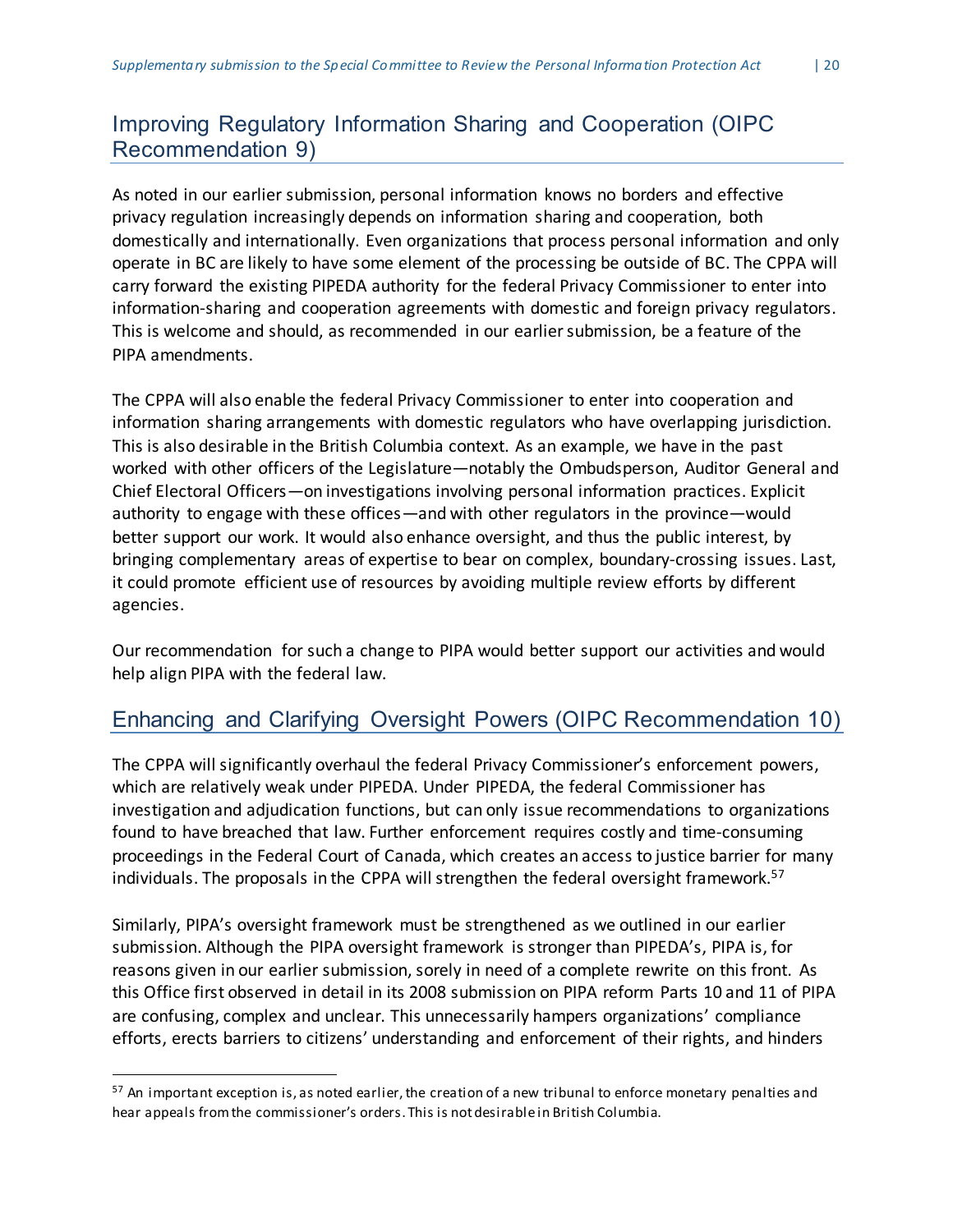## <span id="page-20-0"></span>Improving Regulatory Information Sharing and Cooperation (OIPC Recommendation 9)

As noted in our earlier submission, personal information knows no borders and effective privacy regulation increasingly depends on information sharing and cooperation, both domestically and internationally. Even organizations that process personal information and only operate in BC are likely to have some element of the processing be outside of BC. The CPPA will carry forward the existing PIPEDA authority for the federal Privacy Commissioner to enter into information-sharing and cooperation agreements with domestic and foreign privacy regulators. This is welcome and should, as recommended in our earliersubmission, be a feature of the PIPA amendments.

The CPPA will also enable the federal Privacy Commissioner to enter into cooperation and information sharing arrangements with domestic regulators who have overlapping jurisdiction. This is also desirable in the British Columbia context. As an example, we have in the past worked with other officers of the Legislature—notably the Ombudsperson, Auditor General and Chief Electoral Officers—on investigations involving personal information practices. Explicit authority to engage with these offices—and with other regulators in the province—would better support our work. It would also enhance oversight, and thus the public interest, by bringing complementary areas of expertise to bear on complex, boundary-crossing issues. Last, it could promote efficient use of resources by avoiding multiple review efforts by different agencies.

Our recommendation for such a change to PIPA would better support our activities and would help align PIPA with the federal law.

## <span id="page-20-1"></span>Enhancing and Clarifying Oversight Powers (OIPC Recommendation 10)

The CPPA will significantly overhaul the federal Privacy Commissioner's enforcement powers, which are relatively weak under PIPEDA. Under PIPEDA, the federal Commissioner has investigation and adjudication functions, but can only issue recommendations to organizations found to have breached that law. Further enforcement requires costly and time-consuming proceedings in the Federal Court of Canada, which creates an access to justice barrier for many individuals. The proposals in the CPPA will strengthen the federal oversight framework. 57

Similarly, PIPA's oversight framework must be strengthened as we outlined in our earlier submission. Although the PIPA oversight framework is stronger than PIPEDA's, PIPA is, for reasons given in our earlier submission, sorely in need of a complete rewrite on this front. As this Office first observed in detail in its 2008 submission on PIPA reform Parts 10 and 11 of PIPA are confusing, complex and unclear. This unnecessarily hampers organizations' compliance efforts, erects barriers to citizens' understanding and enforcement of their rights, and hinders

<sup>&</sup>lt;sup>57</sup> An important exception is, as noted earlier, the creation of a new tribunal to enforce monetary penalties and hear appeals fromthe commissioner's orders. This is not desirable in British Columbia.